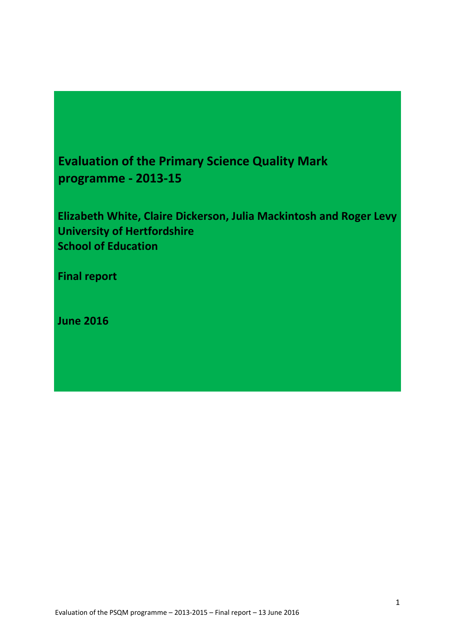# **Evaluation of the Primary Science Quality Mark programme - 2013-15**

**Elizabeth White, Claire Dickerson, Julia Mackintosh and Roger Levy University of Hertfordshire School of Education**

**Final report**

**June 2016**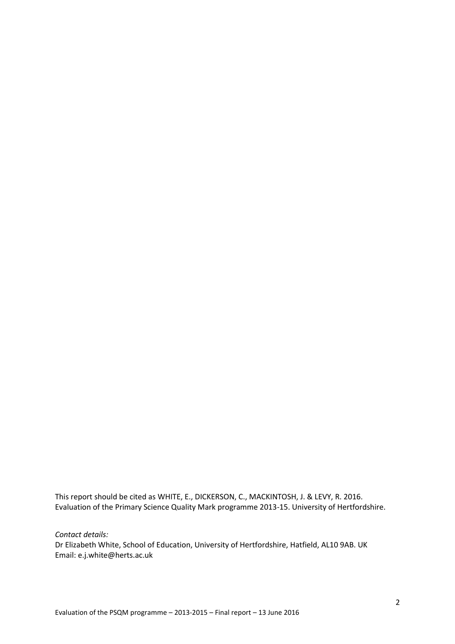This report should be cited as WHITE, E., DICKERSON, C., MACKINTOSH, J. & LEVY, R. 2016. Evaluation of the Primary Science Quality Mark programme 2013-15. University of Hertfordshire.

*Contact details:* 

Dr Elizabeth White, School of Education, University of Hertfordshire, Hatfield, AL10 9AB. UK Email: [e.j.white@herts.ac.uk](mailto:e.j.white@herts.ac.uk)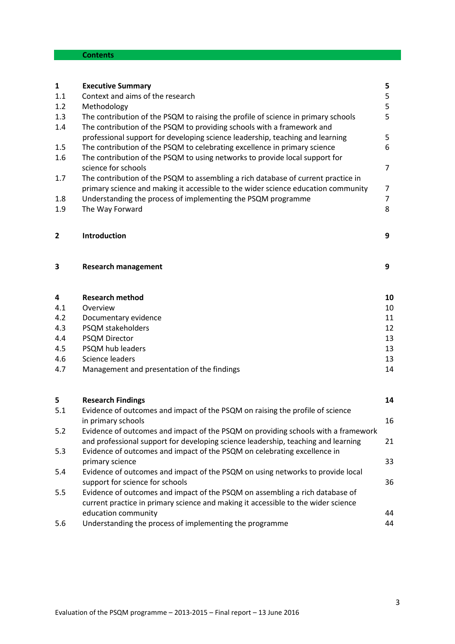# **Contents**

| $\mathbf{1}$   | <b>Executive Summary</b>                                                                                                                                                                 | 5              |
|----------------|------------------------------------------------------------------------------------------------------------------------------------------------------------------------------------------|----------------|
| 1.1            | Context and aims of the research                                                                                                                                                         | 5              |
| 1.2            | Methodology                                                                                                                                                                              | 5              |
| 1.3<br>1.4     | The contribution of the PSQM to raising the profile of science in primary schools<br>The contribution of the PSQM to providing schools with a framework and                              | 5              |
|                | professional support for developing science leadership, teaching and learning                                                                                                            | 5              |
| 1.5            | The contribution of the PSQM to celebrating excellence in primary science                                                                                                                | 6              |
| 1.6            | The contribution of the PSQM to using networks to provide local support for<br>science for schools                                                                                       | 7              |
| 1.7            | The contribution of the PSQM to assembling a rich database of current practice in<br>primary science and making it accessible to the wider science education community                   | 7              |
| 1.8            | Understanding the process of implementing the PSQM programme                                                                                                                             | $\overline{7}$ |
| 1.9            | The Way Forward                                                                                                                                                                          | 8              |
| $\overline{2}$ | Introduction                                                                                                                                                                             | 9              |
| 3              | <b>Research management</b>                                                                                                                                                               | 9              |
| 4              | <b>Research method</b>                                                                                                                                                                   | 10             |
| 4.1            | Overview                                                                                                                                                                                 | 10             |
| 4.2            | Documentary evidence                                                                                                                                                                     | 11             |
| 4.3            | PSQM stakeholders                                                                                                                                                                        | 12             |
| 4.4            | <b>PSQM Director</b>                                                                                                                                                                     | 13             |
| 4.5            | PSQM hub leaders                                                                                                                                                                         | 13             |
| 4.6            | Science leaders                                                                                                                                                                          | 13             |
| 4.7            | Management and presentation of the findings                                                                                                                                              | 14             |
|                |                                                                                                                                                                                          |                |
| 5              | <b>Research Findings</b>                                                                                                                                                                 | 14             |
| 5.1            | Evidence of outcomes and impact of the PSQM on raising the profile of science<br>in primary schools                                                                                      | 16             |
| 5.2            | Evidence of outcomes and impact of the PSQM on providing schools with a framework<br>and professional support for developing science leadership, teaching and learning                   | 21             |
| 5.3            | Evidence of outcomes and impact of the PSQM on celebrating excellence in                                                                                                                 |                |
|                | primary science                                                                                                                                                                          | 33             |
| 5.4            | Evidence of outcomes and impact of the PSQM on using networks to provide local<br>support for science for schools                                                                        | 36             |
| 5.5            | Evidence of outcomes and impact of the PSQM on assembling a rich database of<br>current practice in primary science and making it accessible to the wider science<br>education community | 44             |
| 5.6            | Understanding the process of implementing the programme                                                                                                                                  | 44             |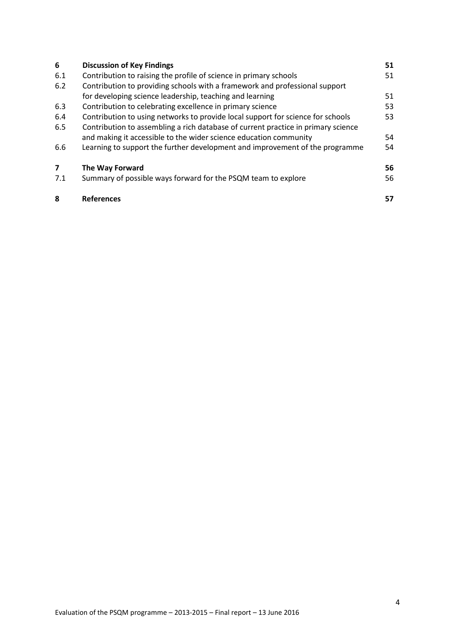| 6   | <b>Discussion of Key Findings</b>                                                 | 51 |
|-----|-----------------------------------------------------------------------------------|----|
| 6.1 | Contribution to raising the profile of science in primary schools                 | 51 |
| 6.2 | Contribution to providing schools with a framework and professional support       |    |
|     | for developing science leadership, teaching and learning                          | 51 |
| 6.3 | Contribution to celebrating excellence in primary science                         | 53 |
| 6.4 | Contribution to using networks to provide local support for science for schools   | 53 |
| 6.5 | Contribution to assembling a rich database of current practice in primary science |    |
|     | and making it accessible to the wider science education community                 | 54 |
| 6.6 | Learning to support the further development and improvement of the programme      | 54 |
| 7   | The Way Forward                                                                   | 56 |
| 7.1 | Summary of possible ways forward for the PSQM team to explore                     | 56 |
| 8   | <b>References</b>                                                                 | 57 |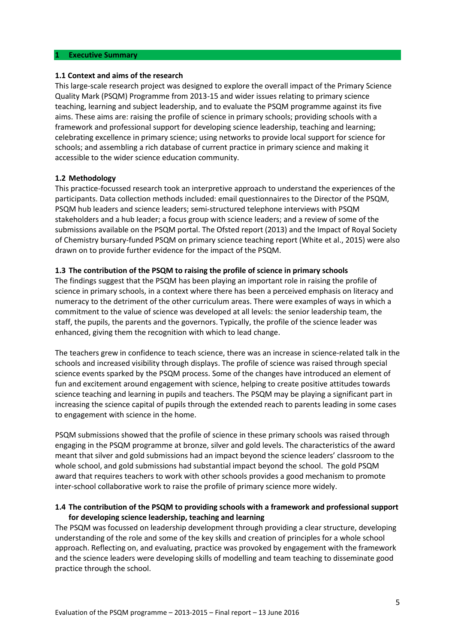#### **1 Executive Summary**

#### **1.1 Context and aims of the research**

This large-scale research project was designed to explore the overall impact of the Primary Science Quality Mark (PSQM) Programme from 2013-15 and wider issues relating to primary science teaching, learning and subject leadership, and to evaluate the PSQM programme against its five aims. These aims are: raising the profile of science in primary schools; providing schools with a framework and professional support for developing science leadership, teaching and learning; celebrating excellence in primary science; using networks to provide local support for science for schools; and assembling a rich database of current practice in primary science and making it accessible to the wider science education community.

#### **1.2 Methodology**

This practice-focussed research took an interpretive approach to understand the experiences of the participants. Data collection methods included: email questionnaires to the Director of the PSQM, PSQM hub leaders and science leaders; semi-structured telephone interviews with PSQM stakeholders and a hub leader; a focus group with science leaders; and a review of some of the submissions available on the PSQM portal. The Ofsted report (2013) and the Impact of Royal Society of Chemistry bursary-funded PSQM on primary science teaching report (White et al., 2015) were also drawn on to provide further evidence for the impact of the PSQM.

#### **1.3 The contribution of the PSQM to raising the profile of science in primary schools**

The findings suggest that the PSQM has been playing an important role in raising the profile of science in primary schools, in a context where there has been a perceived emphasis on literacy and numeracy to the detriment of the other curriculum areas. There were examples of ways in which a commitment to the value of science was developed at all levels: the senior leadership team, the staff, the pupils, the parents and the governors. Typically, the profile of the science leader was enhanced, giving them the recognition with which to lead change.

The teachers grew in confidence to teach science, there was an increase in science-related talk in the schools and increased visibility through displays. The profile of science was raised through special science events sparked by the PSQM process. Some of the changes have introduced an element of fun and excitement around engagement with science, helping to create positive attitudes towards science teaching and learning in pupils and teachers. The PSQM may be playing a significant part in increasing the science capital of pupils through the extended reach to parents leading in some cases to engagement with science in the home.

PSQM submissions showed that the profile of science in these primary schools was raised through engaging in the PSQM programme at bronze, silver and gold levels. The characteristics of the award meant that silver and gold submissions had an impact beyond the science leaders' classroom to the whole school, and gold submissions had substantial impact beyond the school. The gold PSQM award that requires teachers to work with other schools provides a good mechanism to promote inter-school collaborative work to raise the profile of primary science more widely.

## **1.4 The contribution of the PSQM to providing schools with a framework and professional support for developing science leadership, teaching and learning**

The PSQM was focussed on leadership development through providing a clear structure, developing understanding of the role and some of the key skills and creation of principles for a whole school approach. Reflecting on, and evaluating, practice was provoked by engagement with the framework and the science leaders were developing skills of modelling and team teaching to disseminate good practice through the school.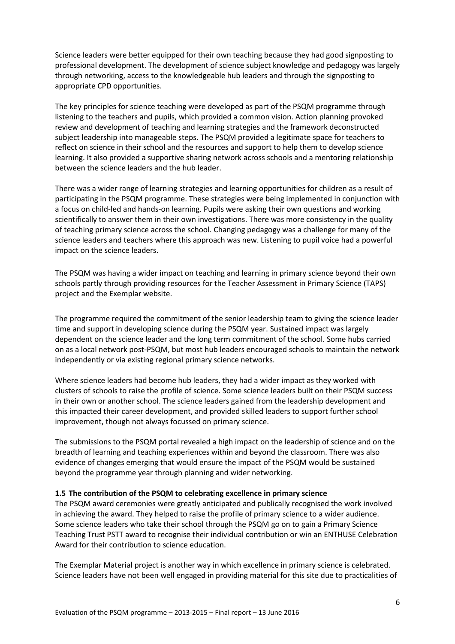Science leaders were better equipped for their own teaching because they had good signposting to professional development. The development of science subject knowledge and pedagogy was largely through networking, access to the knowledgeable hub leaders and through the signposting to appropriate CPD opportunities.

The key principles for science teaching were developed as part of the PSQM programme through listening to the teachers and pupils, which provided a common vision. Action planning provoked review and development of teaching and learning strategies and the framework deconstructed subject leadership into manageable steps. The PSQM provided a legitimate space for teachers to reflect on science in their school and the resources and support to help them to develop science learning. It also provided a supportive sharing network across schools and a mentoring relationship between the science leaders and the hub leader.

There was a wider range of learning strategies and learning opportunities for children as a result of participating in the PSQM programme. These strategies were being implemented in conjunction with a focus on child-led and hands-on learning. Pupils were asking their own questions and working scientifically to answer them in their own investigations. There was more consistency in the quality of teaching primary science across the school. Changing pedagogy was a challenge for many of the science leaders and teachers where this approach was new. Listening to pupil voice had a powerful impact on the science leaders.

The PSQM was having a wider impact on teaching and learning in primary science beyond their own schools partly through providing resources for the Teacher Assessment in Primary Science (TAPS) project and the Exemplar website.

The programme required the commitment of the senior leadership team to giving the science leader time and support in developing science during the PSQM year. Sustained impact was largely dependent on the science leader and the long term commitment of the school. Some hubs carried on as a local network post-PSQM, but most hub leaders encouraged schools to maintain the network independently or via existing regional primary science networks.

Where science leaders had become hub leaders, they had a wider impact as they worked with clusters of schools to raise the profile of science. Some science leaders built on their PSQM success in their own or another school. The science leaders gained from the leadership development and this impacted their career development, and provided skilled leaders to support further school improvement, though not always focussed on primary science.

The submissions to the PSQM portal revealed a high impact on the leadership of science and on the breadth of learning and teaching experiences within and beyond the classroom. There was also evidence of changes emerging that would ensure the impact of the PSQM would be sustained beyond the programme year through planning and wider networking.

## **1.5 The contribution of the PSQM to celebrating excellence in primary science**

The PSQM award ceremonies were greatly anticipated and publically recognised the work involved in achieving the award. They helped to raise the profile of primary science to a wider audience. Some science leaders who take their school through the PSQM go on to gain a Primary Science Teaching Trust PSTT award to recognise their individual contribution or win an ENTHUSE Celebration Award for their contribution to science education.

The Exemplar Material project is another way in which excellence in primary science is celebrated. Science leaders have not been well engaged in providing material for this site due to practicalities of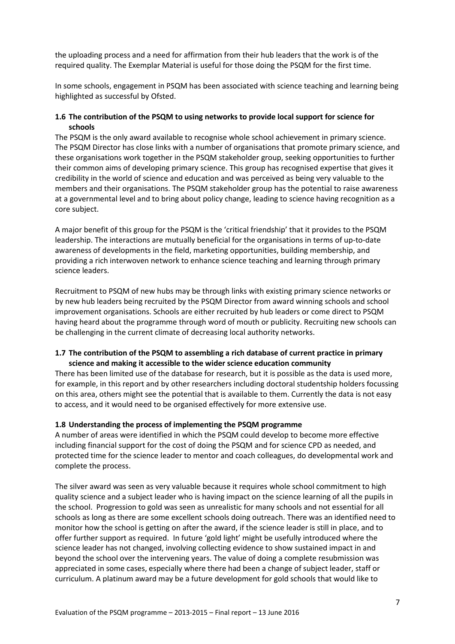the uploading process and a need for affirmation from their hub leaders that the work is of the required quality. The Exemplar Material is useful for those doing the PSQM for the first time.

In some schools, engagement in PSQM has been associated with science teaching and learning being highlighted as successful by Ofsted.

## **1.6 The contribution of the PSQM to using networks to provide local support for science for schools**

The PSQM is the only award available to recognise whole school achievement in primary science. The PSQM Director has close links with a number of organisations that promote primary science, and these organisations work together in the PSQM stakeholder group, seeking opportunities to further their common aims of developing primary science. This group has recognised expertise that gives it credibility in the world of science and education and was perceived as being very valuable to the members and their organisations. The PSQM stakeholder group has the potential to raise awareness at a governmental level and to bring about policy change, leading to science having recognition as a core subject.

A major benefit of this group for the PSQM is the 'critical friendship' that it provides to the PSQM leadership. The interactions are mutually beneficial for the organisations in terms of up-to-date awareness of developments in the field, marketing opportunities, building membership, and providing a rich interwoven network to enhance science teaching and learning through primary science leaders.

Recruitment to PSQM of new hubs may be through links with existing primary science networks or by new hub leaders being recruited by the PSQM Director from award winning schools and school improvement organisations. Schools are either recruited by hub leaders or come direct to PSQM having heard about the programme through word of mouth or publicity. Recruiting new schools can be challenging in the current climate of decreasing local authority networks.

# **1.7 The contribution of the PSQM to assembling a rich database of current practice in primary science and making it accessible to the wider science education community**

There has been limited use of the database for research, but it is possible as the data is used more, for example, in this report and by other researchers including doctoral studentship holders focussing on this area, others might see the potential that is available to them. Currently the data is not easy to access, and it would need to be organised effectively for more extensive use.

## **1.8 Understanding the process of implementing the PSQM programme**

A number of areas were identified in which the PSQM could develop to become more effective including financial support for the cost of doing the PSQM and for science CPD as needed, and protected time for the science leader to mentor and coach colleagues, do developmental work and complete the process.

The silver award was seen as very valuable because it requires whole school commitment to high quality science and a subject leader who is having impact on the science learning of all the pupils in the school. Progression to gold was seen as unrealistic for many schools and not essential for all schools as long as there are some excellent schools doing outreach. There was an identified need to monitor how the school is getting on after the award, if the science leader is still in place, and to offer further support as required. In future 'gold light' might be usefully introduced where the science leader has not changed, involving collecting evidence to show sustained impact in and beyond the school over the intervening years. The value of doing a complete resubmission was appreciated in some cases, especially where there had been a change of subject leader, staff or curriculum. A platinum award may be a future development for gold schools that would like to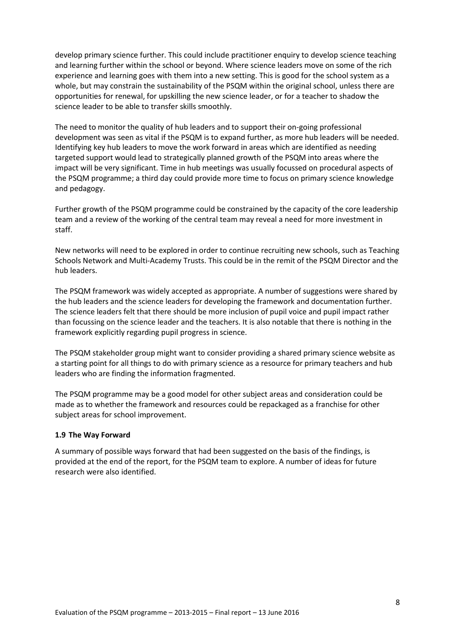develop primary science further. This could include practitioner enquiry to develop science teaching and learning further within the school or beyond. Where science leaders move on some of the rich experience and learning goes with them into a new setting. This is good for the school system as a whole, but may constrain the sustainability of the PSQM within the original school, unless there are opportunities for renewal, for upskilling the new science leader, or for a teacher to shadow the science leader to be able to transfer skills smoothly.

The need to monitor the quality of hub leaders and to support their on-going professional development was seen as vital if the PSQM is to expand further, as more hub leaders will be needed. Identifying key hub leaders to move the work forward in areas which are identified as needing targeted support would lead to strategically planned growth of the PSQM into areas where the impact will be very significant. Time in hub meetings was usually focussed on procedural aspects of the PSQM programme; a third day could provide more time to focus on primary science knowledge and pedagogy.

Further growth of the PSQM programme could be constrained by the capacity of the core leadership team and a review of the working of the central team may reveal a need for more investment in staff.

New networks will need to be explored in order to continue recruiting new schools, such as Teaching Schools Network and Multi-Academy Trusts. This could be in the remit of the PSQM Director and the hub leaders.

The PSQM framework was widely accepted as appropriate. A number of suggestions were shared by the hub leaders and the science leaders for developing the framework and documentation further. The science leaders felt that there should be more inclusion of pupil voice and pupil impact rather than focussing on the science leader and the teachers. It is also notable that there is nothing in the framework explicitly regarding pupil progress in science.

The PSQM stakeholder group might want to consider providing a shared primary science website as a starting point for all things to do with primary science as a resource for primary teachers and hub leaders who are finding the information fragmented.

The PSQM programme may be a good model for other subject areas and consideration could be made as to whether the framework and resources could be repackaged as a franchise for other subject areas for school improvement.

## **1.9 The Way Forward**

A summary of possible ways forward that had been suggested on the basis of the findings, is provided at the end of the report, for the PSQM team to explore. A number of ideas for future research were also identified.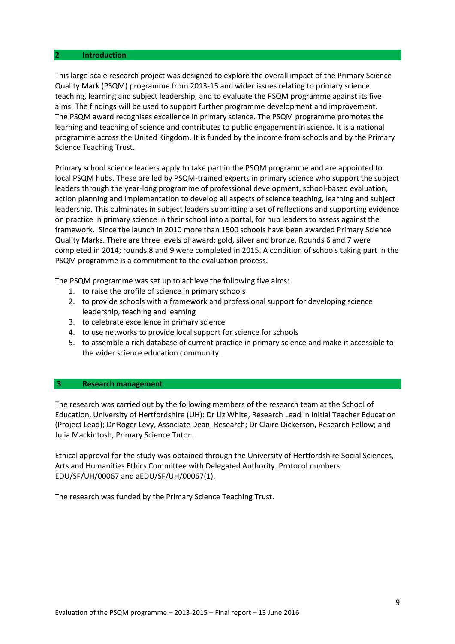#### **2 Introduction**

This large-scale research project was designed to explore the overall impact of the Primary Science Quality Mark (PSQM) programme from 2013-15 and wider issues relating to primary science teaching, learning and subject leadership, and to evaluate the PSQM programme against its five aims. The findings will be used to support further programme development and improvement. The PSQM award recognises excellence in primary science. The PSQM programme promotes the learning and teaching of science and contributes to public engagement in science. It is a national programme across the United Kingdom. It is funded by the income from schools and by the Primary Science Teaching Trust.

Primary school science leaders apply to take part in the PSQM programme and are appointed to local PSQM hubs. These are led by PSQM-trained experts in primary science who support the subject leaders through the year-long programme of professional development, school-based evaluation, action planning and implementation to develop all aspects of science teaching, learning and subject leadership. This culminates in subject leaders submitting a set of reflections and supporting evidence on practice in primary science in their school into a portal, for hub leaders to assess against the framework. Since the launch in 2010 more than 1500 schools have been awarded Primary Science Quality Marks. There are three levels of award: gold, silver and bronze. Rounds 6 and 7 were completed in 2014; rounds 8 and 9 were completed in 2015. A condition of schools taking part in the PSQM programme is a commitment to the evaluation process.

The PSQM programme was set up to achieve the following five aims:

- 1. to raise the profile of science in primary schools
- 2. to provide schools with a framework and professional support for developing science leadership, teaching and learning
- 3. to celebrate excellence in primary science
- 4. to use networks to provide local support for science for schools
- 5. to assemble a rich database of current practice in primary science and make it accessible to the wider science education community.

#### **3 Research management**

The research was carried out by the following members of the research team at the School of Education, University of Hertfordshire (UH): Dr Liz White, Research Lead in Initial Teacher Education (Project Lead); Dr Roger Levy, Associate Dean, Research; Dr Claire Dickerson, Research Fellow; and Julia Mackintosh, Primary Science Tutor.

Ethical approval for the study was obtained through the University of Hertfordshire Social Sciences, Arts and Humanities Ethics Committee with Delegated Authority. Protocol numbers: EDU/SF/UH/00067 and aEDU/SF/UH/00067(1).

The research was funded by the Primary Science Teaching Trust.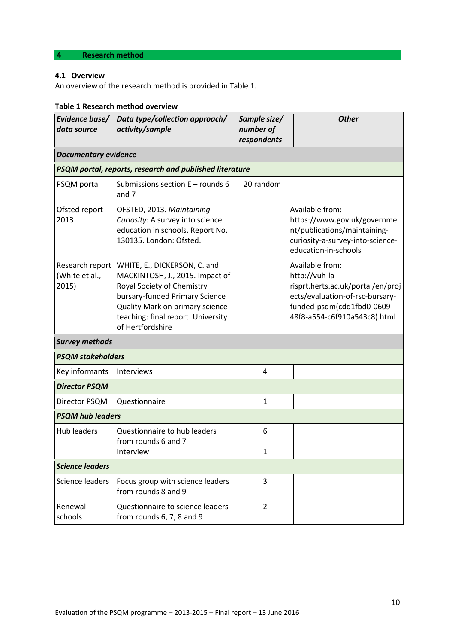# **4 Research method**

# **4.1 Overview**

An overview of the research method is provided in Table 1.

# **Table 1 Research method overview**

| Evidence base/<br>data source                | Data type/collection approach/<br>activity/sample                                                                                                                                                                                   | Sample size/<br>number of<br>respondents | <b>Other</b>                                                                                                                                                            |  |  |
|----------------------------------------------|-------------------------------------------------------------------------------------------------------------------------------------------------------------------------------------------------------------------------------------|------------------------------------------|-------------------------------------------------------------------------------------------------------------------------------------------------------------------------|--|--|
| <b>Documentary evidence</b>                  |                                                                                                                                                                                                                                     |                                          |                                                                                                                                                                         |  |  |
|                                              | PSQM portal, reports, research and published literature                                                                                                                                                                             |                                          |                                                                                                                                                                         |  |  |
| PSQM portal                                  | Submissions section $E$ – rounds 6<br>and 7                                                                                                                                                                                         | 20 random                                |                                                                                                                                                                         |  |  |
| Ofsted report<br>2013                        | OFSTED, 2013. Maintaining<br>Curiosity: A survey into science<br>education in schools. Report No.<br>130135. London: Ofsted.                                                                                                        |                                          | Available from:<br>https://www.gov.uk/governme<br>nt/publications/maintaining-<br>curiosity-a-survey-into-science-<br>education-in-schools                              |  |  |
| Research report  <br>(White et al.,<br>2015) | WHITE, E., DICKERSON, C. and<br>MACKINTOSH, J., 2015. Impact of<br>Royal Society of Chemistry<br>bursary-funded Primary Science<br><b>Quality Mark on primary science</b><br>teaching: final report. University<br>of Hertfordshire |                                          | Available from:<br>http://vuh-la-<br>risprt.herts.ac.uk/portal/en/proj<br>ects/evaluation-of-rsc-bursary-<br>funded-psqm(cdd1fbd0-0609-<br>48f8-a554-c6f910a543c8).html |  |  |
| <b>Survey methods</b>                        |                                                                                                                                                                                                                                     |                                          |                                                                                                                                                                         |  |  |
| <b>PSQM stakeholders</b>                     |                                                                                                                                                                                                                                     |                                          |                                                                                                                                                                         |  |  |
| Key informants                               | Interviews                                                                                                                                                                                                                          | 4                                        |                                                                                                                                                                         |  |  |
| <b>Director PSQM</b>                         |                                                                                                                                                                                                                                     |                                          |                                                                                                                                                                         |  |  |
| Director PSQM                                | Questionnaire                                                                                                                                                                                                                       | $\mathbf{1}$                             |                                                                                                                                                                         |  |  |
| <b>PSQM hub leaders</b>                      |                                                                                                                                                                                                                                     |                                          |                                                                                                                                                                         |  |  |
| <b>Hub leaders</b>                           | Questionnaire to hub leaders<br>from rounds 6 and 7<br>Interview                                                                                                                                                                    | 6<br>1                                   |                                                                                                                                                                         |  |  |
| <b>Science leaders</b>                       |                                                                                                                                                                                                                                     |                                          |                                                                                                                                                                         |  |  |
| Science leaders                              | Focus group with science leaders<br>from rounds 8 and 9                                                                                                                                                                             | 3                                        |                                                                                                                                                                         |  |  |
| Renewal<br>schools                           | Questionnaire to science leaders<br>from rounds 6, 7, 8 and 9                                                                                                                                                                       | $\overline{2}$                           |                                                                                                                                                                         |  |  |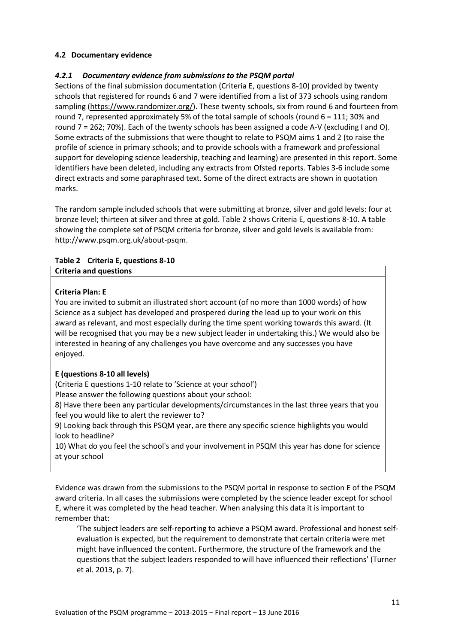# **4.2 Documentary evidence**

## *4.2.1 Documentary evidence from submissions to the PSQM portal*

Sections of the final submission documentation (Criteria E, questions 8-10) provided by twenty schools that registered for rounds 6 and 7 were identified from a list of 373 schools using random sampling [\(https://www.randomizer.org/\)](https://www.randomizer.org/). These twenty schools, six from round 6 and fourteen from round 7, represented approximately 5% of the total sample of schools (round 6 = 111; 30% and round 7 = 262; 70%). Each of the twenty schools has been assigned a code A-V (excluding I and O). Some extracts of the submissions that were thought to relate to PSQM aims 1 and 2 (to raise the profile of science in primary schools; and to provide schools with a framework and professional support for developing science leadership, teaching and learning) are presented in this report. Some identifiers have been deleted, including any extracts from Ofsted reports. Tables 3-6 include some direct extracts and some paraphrased text. Some of the direct extracts are shown in quotation marks.

The random sample included schools that were submitting at bronze, silver and gold levels: four at bronze level; thirteen at silver and three at gold. Table 2 shows Criteria E, questions 8-10. A table showing the complete set of PSQM criteria for bronze, silver and gold levels is available from: http://www.psqm.org.uk/about-psqm.

## **Table 2 Criteria E, questions 8-10**

| <b>Criteria and questions</b> |  |
|-------------------------------|--|
|                               |  |

## **Criteria Plan: E**

You are invited to submit an illustrated short account (of no more than 1000 words) of how Science as a subject has developed and prospered during the lead up to your work on this award as relevant, and most especially during the time spent working towards this award. (It will be recognised that you may be a new subject leader in undertaking this.) We would also be interested in hearing of any challenges you have overcome and any successes you have enjoyed.

## **E (questions 8-10 all levels)**

(Criteria E questions 1-10 relate to 'Science at your school')

Please answer the following questions about your school:

8) Have there been any particular developments/circumstances in the last three years that you feel you would like to alert the reviewer to?

9) Looking back through this PSQM year, are there any specific science highlights you would look to headline?

10) What do you feel the school's and your involvement in PSQM this year has done for science at your school

Evidence was drawn from the submissions to the PSQM portal in response to section E of the PSQM award criteria. In all cases the submissions were completed by the science leader except for school E, where it was completed by the head teacher. When analysing this data it is important to remember that:

'The subject leaders are self-reporting to achieve a PSQM award. Professional and honest selfevaluation is expected, but the requirement to demonstrate that certain criteria were met might have influenced the content. Furthermore, the structure of the framework and the questions that the subject leaders responded to will have influenced their reflections' (Turner et al. 2013, p. 7).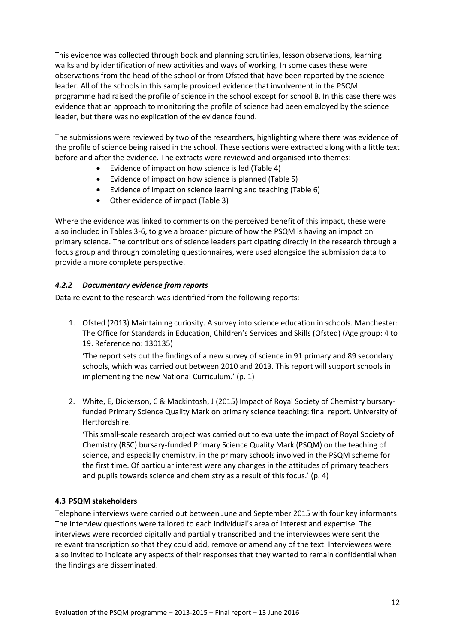This evidence was collected through book and planning scrutinies, lesson observations, learning walks and by identification of new activities and ways of working. In some cases these were observations from the head of the school or from Ofsted that have been reported by the science leader. All of the schools in this sample provided evidence that involvement in the PSQM programme had raised the profile of science in the school except for school B. In this case there was evidence that an approach to monitoring the profile of science had been employed by the science leader, but there was no explication of the evidence found.

The submissions were reviewed by two of the researchers, highlighting where there was evidence of the profile of science being raised in the school. These sections were extracted along with a little text before and after the evidence. The extracts were reviewed and organised into themes:

- Evidence of impact on how science is led (Table 4)
- Evidence of impact on how science is planned (Table 5)
- Evidence of impact on science learning and teaching (Table 6)
- Other evidence of impact (Table 3)

Where the evidence was linked to comments on the perceived benefit of this impact, these were also included in Tables 3-6, to give a broader picture of how the PSQM is having an impact on primary science. The contributions of science leaders participating directly in the research through a focus group and through completing questionnaires, were used alongside the submission data to provide a more complete perspective.

# *4.2.2 Documentary evidence from reports*

Data relevant to the research was identified from the following reports:

1. Ofsted (2013) Maintaining curiosity. A survey into science education in schools. Manchester: The Office for Standards in Education, Children's Services and Skills (Ofsted) (Age group: 4 to 19. Reference no: 130135)

'The report sets out the findings of a new survey of science in 91 primary and 89 secondary schools, which was carried out between 2010 and 2013. This report will support schools in implementing the new National Curriculum.' (p. 1)

2. White, E, Dickerson, C & Mackintosh, J (2015) Impact of Royal Society of Chemistry bursaryfunded Primary Science Quality Mark on primary science teaching: final report. University of Hertfordshire.

'This small-scale research project was carried out to evaluate the impact of Royal Society of Chemistry (RSC) bursary-funded Primary Science Quality Mark (PSQM) on the teaching of science, and especially chemistry, in the primary schools involved in the PSQM scheme for the first time. Of particular interest were any changes in the attitudes of primary teachers and pupils towards science and chemistry as a result of this focus.' (p. 4)

# **4.3 PSQM stakeholders**

Telephone interviews were carried out between June and September 2015 with four key informants. The interview questions were tailored to each individual's area of interest and expertise. The interviews were recorded digitally and partially transcribed and the interviewees were sent the relevant transcription so that they could add, remove or amend any of the text. Interviewees were also invited to indicate any aspects of their responses that they wanted to remain confidential when the findings are disseminated.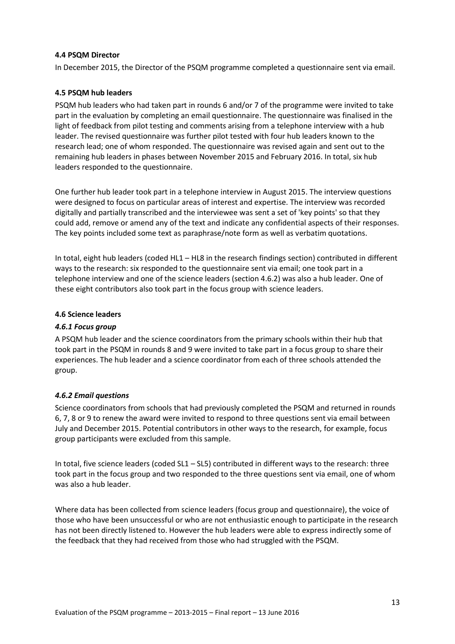## **4.4 PSQM Director**

In December 2015, the Director of the PSQM programme completed a questionnaire sent via email.

## **4.5 PSQM hub leaders**

PSQM hub leaders who had taken part in rounds 6 and/or 7 of the programme were invited to take part in the evaluation by completing an email questionnaire. The questionnaire was finalised in the light of feedback from pilot testing and comments arising from a telephone interview with a hub leader. The revised questionnaire was further pilot tested with four hub leaders known to the research lead; one of whom responded. The questionnaire was revised again and sent out to the remaining hub leaders in phases between November 2015 and February 2016. In total, six hub leaders responded to the questionnaire.

One further hub leader took part in a telephone interview in August 2015. The interview questions were designed to focus on particular areas of interest and expertise. The interview was recorded digitally and partially transcribed and the interviewee was sent a set of 'key points' so that they could add, remove or amend any of the text and indicate any confidential aspects of their responses. The key points included some text as paraphrase/note form as well as verbatim quotations.

In total, eight hub leaders (coded HL1 – HL8 in the research findings section) contributed in different ways to the research: six responded to the questionnaire sent via email; one took part in a telephone interview and one of the science leaders (section 4.6.2) was also a hub leader. One of these eight contributors also took part in the focus group with science leaders.

#### **4.6 Science leaders**

## *4.6.1 Focus group*

A PSQM hub leader and the science coordinators from the primary schools within their hub that took part in the PSQM in rounds 8 and 9 were invited to take part in a focus group to share their experiences. The hub leader and a science coordinator from each of three schools attended the group.

## *4.6.2 Email questions*

Science coordinators from schools that had previously completed the PSQM and returned in rounds 6, 7, 8 or 9 to renew the award were invited to respond to three questions sent via email between July and December 2015. Potential contributors in other ways to the research, for example, focus group participants were excluded from this sample.

In total, five science leaders (coded SL1 – SL5) contributed in different ways to the research: three took part in the focus group and two responded to the three questions sent via email, one of whom was also a hub leader.

Where data has been collected from science leaders (focus group and questionnaire), the voice of those who have been unsuccessful or who are not enthusiastic enough to participate in the research has not been directly listened to. However the hub leaders were able to express indirectly some of the feedback that they had received from those who had struggled with the PSQM.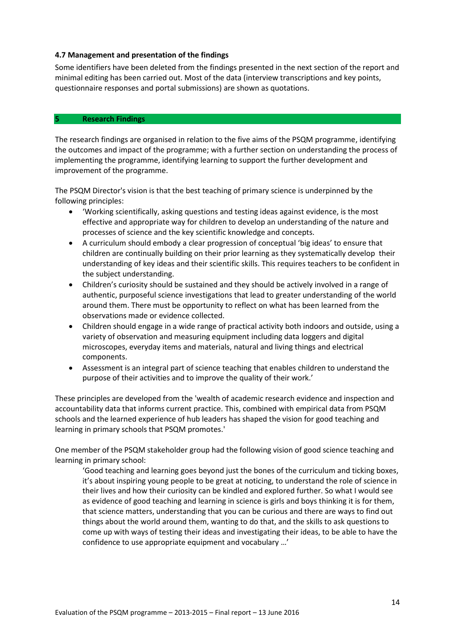#### **4.7 Management and presentation of the findings**

Some identifiers have been deleted from the findings presented in the next section of the report and minimal editing has been carried out. Most of the data (interview transcriptions and key points, questionnaire responses and portal submissions) are shown as quotations.

#### **5 Research Findings**

The research findings are organised in relation to the five aims of the PSQM programme, identifying the outcomes and impact of the programme; with a further section on understanding the process of implementing the programme, identifying learning to support the further development and improvement of the programme.

The PSQM Director's vision is that the best teaching of primary science is underpinned by the following principles:

- 'Working scientifically, asking questions and testing ideas against evidence, is the most effective and appropriate way for children to develop an understanding of the nature and processes of science and the key scientific knowledge and concepts.
- A curriculum should embody a clear progression of conceptual 'big ideas' to ensure that children are continually building on their prior learning as they systematically develop their understanding of key ideas and their scientific skills. This requires teachers to be confident in the subject understanding.
- Children's curiosity should be sustained and they should be actively involved in a range of authentic, purposeful science investigations that lead to greater understanding of the world around them. There must be opportunity to reflect on what has been learned from the observations made or evidence collected.
- Children should engage in a wide range of practical activity both indoors and outside, using a variety of observation and measuring equipment including data loggers and digital microscopes, everyday items and materials, natural and living things and electrical components.
- Assessment is an integral part of science teaching that enables children to understand the purpose of their activities and to improve the quality of their work.'

These principles are developed from the 'wealth of academic research evidence and inspection and accountability data that informs current practice. This, combined with empirical data from PSQM schools and the learned experience of hub leaders has shaped the vision for good teaching and learning in primary schools that PSQM promotes.'

One member of the PSQM stakeholder group had the following vision of good science teaching and learning in primary school:

'Good teaching and learning goes beyond just the bones of the curriculum and ticking boxes, it's about inspiring young people to be great at noticing, to understand the role of science in their lives and how their curiosity can be kindled and explored further. So what I would see as evidence of good teaching and learning in science is girls and boys thinking it is for them, that science matters, understanding that you can be curious and there are ways to find out things about the world around them, wanting to do that, and the skills to ask questions to come up with ways of testing their ideas and investigating their ideas, to be able to have the confidence to use appropriate equipment and vocabulary …'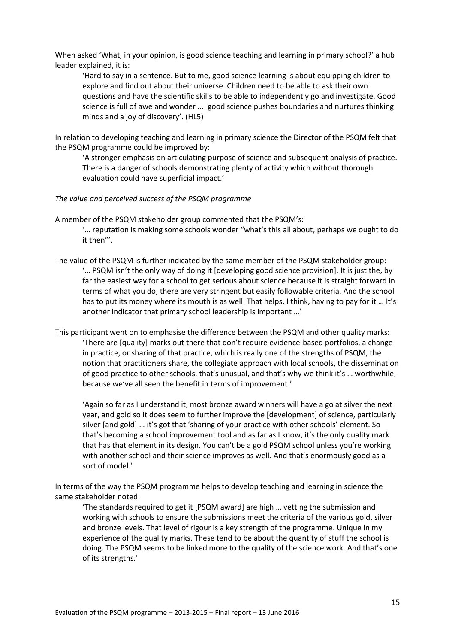When asked 'What, in your opinion, is good science teaching and learning in primary school?' a hub leader explained, it is:

'Hard to say in a sentence. But to me, good science learning is about equipping children to explore and find out about their universe. Children need to be able to ask their own questions and have the scientific skills to be able to independently go and investigate. Good science is full of awe and wonder ... good science pushes boundaries and nurtures thinking minds and a joy of discovery'. (HL5)

In relation to developing teaching and learning in primary science the Director of the PSQM felt that the PSQM programme could be improved by:

'A stronger emphasis on articulating purpose of science and subsequent analysis of practice. There is a danger of schools demonstrating plenty of activity which without thorough evaluation could have superficial impact.'

#### *The value and perceived success of the PSQM programme*

A member of the PSQM stakeholder group commented that the PSQM's:

'… reputation is making some schools wonder "what's this all about, perhaps we ought to do it then"'.

The value of the PSQM is further indicated by the same member of the PSQM stakeholder group: '… PSQM isn't the only way of doing it [developing good science provision]. It is just the, by far the easiest way for a school to get serious about science because it is straight forward in terms of what you do, there are very stringent but easily followable criteria. And the school has to put its money where its mouth is as well. That helps, I think, having to pay for it … It's another indicator that primary school leadership is important …'

This participant went on to emphasise the difference between the PSQM and other quality marks: 'There are [quality] marks out there that don't require evidence-based portfolios, a change in practice, or sharing of that practice, which is really one of the strengths of PSQM, the notion that practitioners share, the collegiate approach with local schools, the dissemination of good practice to other schools, that's unusual, and that's why we think it's … worthwhile, because we've all seen the benefit in terms of improvement.'

'Again so far as I understand it, most bronze award winners will have a go at silver the next year, and gold so it does seem to further improve the [development] of science, particularly silver [and gold] … it's got that 'sharing of your practice with other schools' element. So that's becoming a school improvement tool and as far as I know, it's the only quality mark that has that element in its design. You can't be a gold PSQM school unless you're working with another school and their science improves as well. And that's enormously good as a sort of model.'

In terms of the way the PSQM programme helps to develop teaching and learning in science the same stakeholder noted:

'The standards required to get it [PSQM award] are high … vetting the submission and working with schools to ensure the submissions meet the criteria of the various gold, silver and bronze levels. That level of rigour is a key strength of the programme. Unique in my experience of the quality marks. These tend to be about the quantity of stuff the school is doing. The PSQM seems to be linked more to the quality of the science work. And that's one of its strengths.'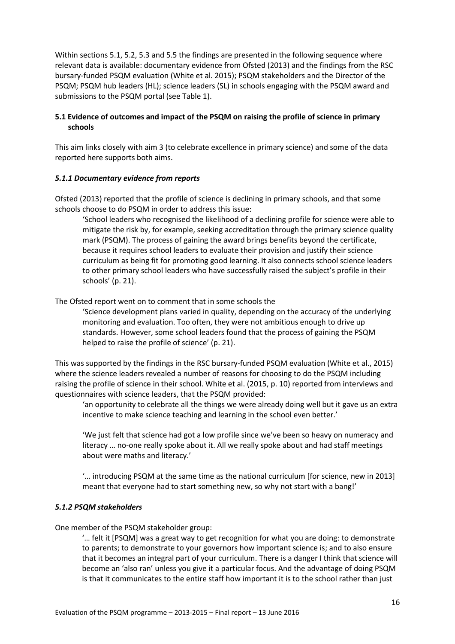Within sections 5.1, 5.2, 5.3 and 5.5 the findings are presented in the following sequence where relevant data is available: documentary evidence from Ofsted (2013) and the findings from the RSC bursary-funded PSQM evaluation (White et al. 2015); PSQM stakeholders and the Director of the PSQM; PSQM hub leaders (HL); science leaders (SL) in schools engaging with the PSQM award and submissions to the PSQM portal (see Table 1).

# **5.1 Evidence of outcomes and impact of the PSQM on raising the profile of science in primary schools**

This aim links closely with aim 3 (to celebrate excellence in primary science) and some of the data reported here supports both aims.

# *5.1.1 Documentary evidence from reports*

Ofsted (2013) reported that the profile of science is declining in primary schools, and that some schools choose to do PSQM in order to address this issue:

'School leaders who recognised the likelihood of a declining profile for science were able to mitigate the risk by, for example, seeking accreditation through the primary science quality mark (PSQM). The process of gaining the award brings benefits beyond the certificate, because it requires school leaders to evaluate their provision and justify their science curriculum as being fit for promoting good learning. It also connects school science leaders to other primary school leaders who have successfully raised the subject's profile in their schools' (p. 21).

The Ofsted report went on to comment that in some schools the

'Science development plans varied in quality, depending on the accuracy of the underlying monitoring and evaluation. Too often, they were not ambitious enough to drive up standards. However, some school leaders found that the process of gaining the PSQM helped to raise the profile of science' (p. 21).

This was supported by the findings in the RSC bursary-funded PSQM evaluation (White et al., 2015) where the science leaders revealed a number of reasons for choosing to do the PSQM including raising the profile of science in their school. White et al. (2015, p. 10) reported from interviews and questionnaires with science leaders, that the PSQM provided:

'an opportunity to celebrate all the things we were already doing well but it gave us an extra incentive to make science teaching and learning in the school even better.'

'We just felt that science had got a low profile since we've been so heavy on numeracy and literacy … no-one really spoke about it. All we really spoke about and had staff meetings about were maths and literacy.'

'… introducing PSQM at the same time as the national curriculum [for science, new in 2013] meant that everyone had to start something new, so why not start with a bang!'

## *5.1.2 PSQM stakeholders*

One member of the PSQM stakeholder group:

'… felt it [PSQM] was a great way to get recognition for what you are doing: to demonstrate to parents; to demonstrate to your governors how important science is; and to also ensure that it becomes an integral part of your curriculum. There is a danger I think that science will become an 'also ran' unless you give it a particular focus. And the advantage of doing PSQM is that it communicates to the entire staff how important it is to the school rather than just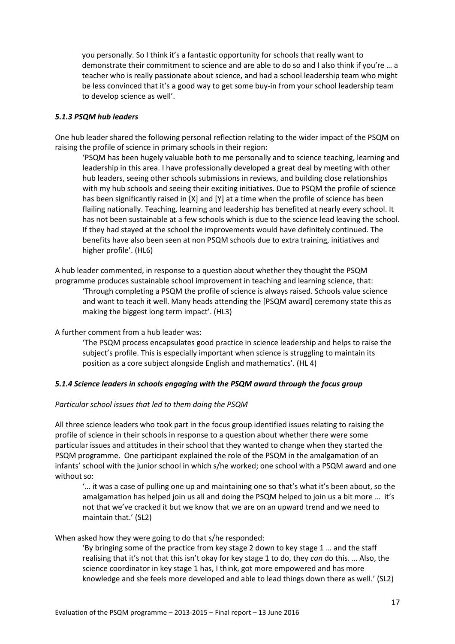you personally. So I think it's a fantastic opportunity for schools that really want to demonstrate their commitment to science and are able to do so and I also think if you're … a teacher who is really passionate about science, and had a school leadership team who might be less convinced that it's a good way to get some buy-in from your school leadership team to develop science as well'.

## *5.1.3 PSQM hub leaders*

One hub leader shared the following personal reflection relating to the wider impact of the PSQM on raising the profile of science in primary schools in their region:

'PSQM has been hugely valuable both to me personally and to science teaching, learning and leadership in this area. I have professionally developed a great deal by meeting with other hub leaders, seeing other schools submissions in reviews, and building close relationships with my hub schools and seeing their exciting initiatives. Due to PSQM the profile of science has been significantly raised in [X] and [Y] at a time when the profile of science has been flailing nationally. Teaching, learning and leadership has benefited at nearly every school. It has not been sustainable at a few schools which is due to the science lead leaving the school. If they had stayed at the school the improvements would have definitely continued. The benefits have also been seen at non PSQM schools due to extra training, initiatives and higher profile'. (HL6)

A hub leader commented, in response to a question about whether they thought the PSQM programme produces sustainable school improvement in teaching and learning science, that: 'Through completing a PSQM the profile of science is always raised. Schools value science and want to teach it well. Many heads attending the [PSQM award] ceremony state this as making the biggest long term impact'. (HL3)

A further comment from a hub leader was:

'The PSQM process encapsulates good practice in science leadership and helps to raise the subject's profile. This is especially important when science is struggling to maintain its position as a core subject alongside English and mathematics'. (HL 4)

## *5.1.4 Science leaders in schools engaging with the PSQM award through the focus group*

#### *Particular school issues that led to them doing the PSQM*

All three science leaders who took part in the focus group identified issues relating to raising the profile of science in their schools in response to a question about whether there were some particular issues and attitudes in their school that they wanted to change when they started the PSQM programme. One participant explained the role of the PSQM in the amalgamation of an infants' school with the junior school in which s/he worked; one school with a PSQM award and one without so:

'… it was a case of pulling one up and maintaining one so that's what it's been about, so the amalgamation has helped join us all and doing the PSQM helped to join us a bit more ... it's not that we've cracked it but we know that we are on an upward trend and we need to maintain that.' (SL2)

#### When asked how they were going to do that s/he responded:

'By bringing some of the practice from key stage 2 down to key stage 1 … and the staff realising that it's not that this isn't okay for key stage 1 to do, they *can* do this. … Also, the science coordinator in key stage 1 has, I think, got more empowered and has more knowledge and she feels more developed and able to lead things down there as well.' (SL2)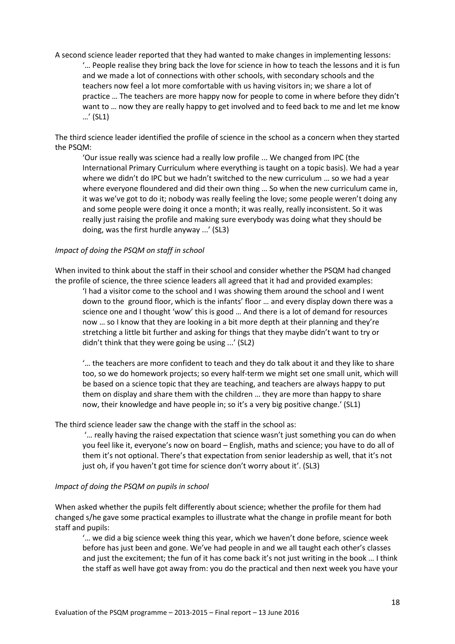A second science leader reported that they had wanted to make changes in implementing lessons: '… People realise they bring back the love for science in how to teach the lessons and it is fun and we made a lot of connections with other schools, with secondary schools and the teachers now feel a lot more comfortable with us having visitors in; we share a lot of practice … The teachers are more happy now for people to come in where before they didn't want to … now they are really happy to get involved and to feed back to me and let me know …' (SL1)

The third science leader identified the profile of science in the school as a concern when they started the PSQM:

'Our issue really was science had a really low profile ... We changed from IPC (the International Primary Curriculum where everything is taught on a topic basis). We had a year where we didn't do IPC but we hadn't switched to the new curriculum ... so we had a year where everyone floundered and did their own thing ... So when the new curriculum came in, it was we've got to do it; nobody was really feeling the love; some people weren't doing any and some people were doing it once a month; it was really, really inconsistent. So it was really just raising the profile and making sure everybody was doing what they should be doing, was the first hurdle anyway ...' (SL3)

#### *Impact of doing the PSQM on staff in school*

When invited to think about the staff in their school and consider whether the PSQM had changed the profile of science, the three science leaders all agreed that it had and provided examples:

'I had a visitor come to the school and I was showing them around the school and I went down to the ground floor, which is the infants' floor … and every display down there was a science one and I thought 'wow' this is good … And there is a lot of demand for resources now … so I know that they are looking in a bit more depth at their planning and they're stretching a little bit further and asking for things that they maybe didn't want to try or didn't think that they were going be using ...' (SL2)

'… the teachers are more confident to teach and they do talk about it and they like to share too, so we do homework projects; so every half-term we might set one small unit, which will be based on a science topic that they are teaching, and teachers are always happy to put them on display and share them with the children … they are more than happy to share now, their knowledge and have people in; so it's a very big positive change.' (SL1)

#### The third science leader saw the change with the staff in the school as:

'… really having the raised expectation that science wasn't just something you can do when you feel like it, everyone's now on board – English, maths and science; you have to do all of them it's not optional. There's that expectation from senior leadership as well, that it's not just oh, if you haven't got time for science don't worry about it'. (SL3)

#### *Impact of doing the PSQM on pupils in school*

When asked whether the pupils felt differently about science; whether the profile for them had changed s/he gave some practical examples to illustrate what the change in profile meant for both staff and pupils:

'… we did a big science week thing this year, which we haven't done before, science week before has just been and gone. We've had people in and we all taught each other's classes and just the excitement; the fun of it has come back it's not just writing in the book ... I think the staff as well have got away from: you do the practical and then next week you have your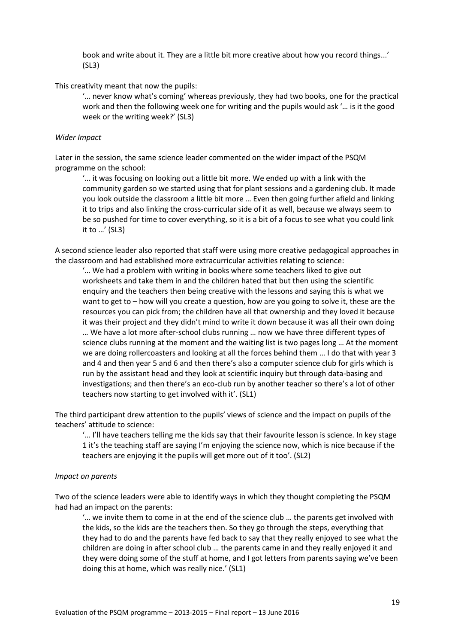book and write about it. They are a little bit more creative about how you record things...' (SL3)

This creativity meant that now the pupils:

'… never know what's coming' whereas previously, they had two books, one for the practical work and then the following week one for writing and the pupils would ask '… is it the good week or the writing week?' (SL3)

#### *Wider Impact*

Later in the session, the same science leader commented on the wider impact of the PSQM programme on the school:

'… it was focusing on looking out a little bit more. We ended up with a link with the community garden so we started using that for plant sessions and a gardening club. It made you look outside the classroom a little bit more … Even then going further afield and linking it to trips and also linking the cross-curricular side of it as well, because we always seem to be so pushed for time to cover everything, so it is a bit of a focus to see what you could link it to …' (SL3)

A second science leader also reported that staff were using more creative pedagogical approaches in the classroom and had established more extracurricular activities relating to science:

'… We had a problem with writing in books where some teachers liked to give out worksheets and take them in and the children hated that but then using the scientific enquiry and the teachers then being creative with the lessons and saying this is what we want to get to – how will you create a question, how are you going to solve it, these are the resources you can pick from; the children have all that ownership and they loved it because it was their project and they didn't mind to write it down because it was all their own doing … We have a lot more after-school clubs running … now we have three different types of science clubs running at the moment and the waiting list is two pages long … At the moment we are doing rollercoasters and looking at all the forces behind them … I do that with year 3 and 4 and then year 5 and 6 and then there's also a computer science club for girls which is run by the assistant head and they look at scientific inquiry but through data-basing and investigations; and then there's an eco-club run by another teacher so there's a lot of other teachers now starting to get involved with it'. (SL1)

The third participant drew attention to the pupils' views of science and the impact on pupils of the teachers' attitude to science:

'… I'll have teachers telling me the kids say that their favourite lesson is science. In key stage 1 it's the teaching staff are saying I'm enjoying the science now, which is nice because if the teachers are enjoying it the pupils will get more out of it too'. (SL2)

#### *Impact on parents*

Two of the science leaders were able to identify ways in which they thought completing the PSQM had had an impact on the parents:

'… we invite them to come in at the end of the science club … the parents get involved with the kids, so the kids are the teachers then. So they go through the steps, everything that they had to do and the parents have fed back to say that they really enjoyed to see what the children are doing in after school club … the parents came in and they really enjoyed it and they were doing some of the stuff at home, and I got letters from parents saying we've been doing this at home, which was really nice.' (SL1)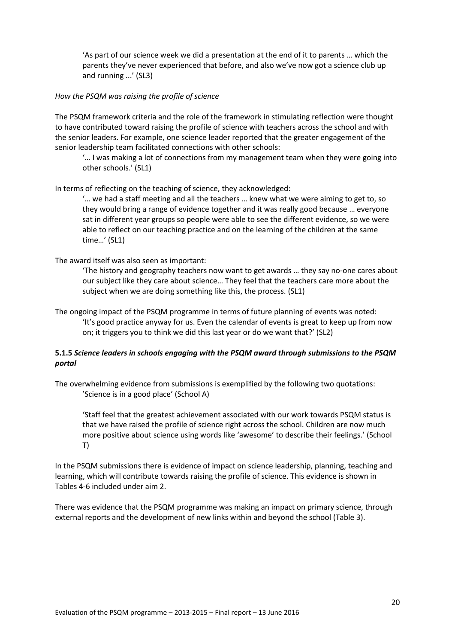'As part of our science week we did a presentation at the end of it to parents … which the parents they've never experienced that before, and also we've now got a science club up and running ...' (SL3)

## *How the PSQM was raising the profile of science*

The PSQM framework criteria and the role of the framework in stimulating reflection were thought to have contributed toward raising the profile of science with teachers across the school and with the senior leaders. For example, one science leader reported that the greater engagement of the senior leadership team facilitated connections with other schools:

'… I was making a lot of connections from my management team when they were going into other schools.' (SL1)

In terms of reflecting on the teaching of science, they acknowledged:

'… we had a staff meeting and all the teachers … knew what we were aiming to get to, so they would bring a range of evidence together and it was really good because … everyone sat in different year groups so people were able to see the different evidence, so we were able to reflect on our teaching practice and on the learning of the children at the same time…' (SL1)

## The award itself was also seen as important:

'The history and geography teachers now want to get awards … they say no-one cares about our subject like they care about science… They feel that the teachers care more about the subject when we are doing something like this, the process. (SL1)

The ongoing impact of the PSQM programme in terms of future planning of events was noted: 'It's good practice anyway for us. Even the calendar of events is great to keep up from now on; it triggers you to think we did this last year or do we want that?' (SL2)

# **5.1.5** *Science leaders in schools engaging with the PSQM award through submissions to the PSQM portal*

The overwhelming evidence from submissions is exemplified by the following two quotations: 'Science is in a good place' (School A)

'Staff feel that the greatest achievement associated with our work towards PSQM status is that we have raised the profile of science right across the school. Children are now much more positive about science using words like 'awesome' to describe their feelings.' (School T)

In the PSQM submissions there is evidence of impact on science leadership, planning, teaching and learning, which will contribute towards raising the profile of science. This evidence is shown in Tables 4-6 included under aim 2.

There was evidence that the PSQM programme was making an impact on primary science, through external reports and the development of new links within and beyond the school (Table 3).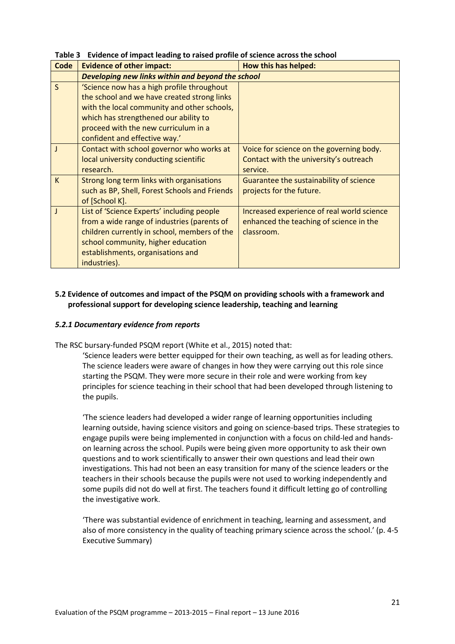| <b>Code</b>  | <b>Evidence of other impact:</b>                  | How this has helped:                       |  |
|--------------|---------------------------------------------------|--------------------------------------------|--|
|              | Developing new links within and beyond the school |                                            |  |
| $\mathsf{S}$ | 'Science now has a high profile throughout        |                                            |  |
|              | the school and we have created strong links       |                                            |  |
|              | with the local community and other schools,       |                                            |  |
|              | which has strengthened our ability to             |                                            |  |
|              | proceed with the new curriculum in a              |                                            |  |
|              | confident and effective way.'                     |                                            |  |
|              | Contact with school governor who works at         | Voice for science on the governing body.   |  |
|              | local university conducting scientific            | Contact with the university's outreach     |  |
|              | research.                                         | service.                                   |  |
| K            | Strong long term links with organisations         | Guarantee the sustainability of science    |  |
|              | such as BP, Shell, Forest Schools and Friends     | projects for the future.                   |  |
|              | of [School K].                                    |                                            |  |
|              | List of 'Science Experts' including people        | Increased experience of real world science |  |
|              | from a wide range of industries (parents of       | enhanced the teaching of science in the    |  |
|              | children currently in school, members of the      | classroom.                                 |  |
|              | school community, higher education                |                                            |  |
|              | establishments, organisations and                 |                                            |  |
|              | industries).                                      |                                            |  |

**Table 3 Evidence of impact leading to raised profile of science across the school** 

# **5.2 Evidence of outcomes and impact of the PSQM on providing schools with a framework and professional support for developing science leadership, teaching and learning**

#### *5.2.1 Documentary evidence from reports*

The RSC bursary-funded PSQM report (White et al., 2015) noted that:

'Science leaders were better equipped for their own teaching, as well as for leading others. The science leaders were aware of changes in how they were carrying out this role since starting the PSQM. They were more secure in their role and were working from key principles for science teaching in their school that had been developed through listening to the pupils.

'The science leaders had developed a wider range of learning opportunities including learning outside, having science visitors and going on science-based trips. These strategies to engage pupils were being implemented in conjunction with a focus on child-led and handson learning across the school. Pupils were being given more opportunity to ask their own questions and to work scientifically to answer their own questions and lead their own investigations. This had not been an easy transition for many of the science leaders or the teachers in their schools because the pupils were not used to working independently and some pupils did not do well at first. The teachers found it difficult letting go of controlling the investigative work.

'There was substantial evidence of enrichment in teaching, learning and assessment, and also of more consistency in the quality of teaching primary science across the school.' (p. 4-5 Executive Summary)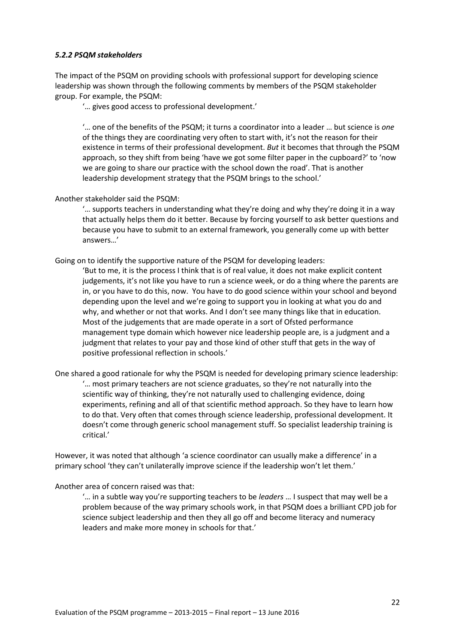## *5.2.2 PSQM stakeholders*

The impact of the PSQM on providing schools with professional support for developing science leadership was shown through the following comments by members of the PSQM stakeholder group. For example, the PSQM:

'… gives good access to professional development.'

'… one of the benefits of the PSQM; it turns a coordinator into a leader … but science is *one* of the things they are coordinating very often to start with, it's not the reason for their existence in terms of their professional development. *But* it becomes that through the PSQM approach, so they shift from being 'have we got some filter paper in the cupboard?' to 'now we are going to share our practice with the school down the road'. That is another leadership development strategy that the PSQM brings to the school.'

Another stakeholder said the PSQM:

'… supports teachers in understanding what they're doing and why they're doing it in a way that actually helps them do it better. Because by forcing yourself to ask better questions and because you have to submit to an external framework, you generally come up with better answers…'

Going on to identify the supportive nature of the PSQM for developing leaders:

'But to me, it is the process I think that is of real value, it does not make explicit content judgements, it's not like you have to run a science week, or do a thing where the parents are in, or you have to do this, now. You have to do good science within your school and beyond depending upon the level and we're going to support you in looking at what you do and why, and whether or not that works. And I don't see many things like that in education. Most of the judgements that are made operate in a sort of Ofsted performance management type domain which however nice leadership people are, is a judgment and a judgment that relates to your pay and those kind of other stuff that gets in the way of positive professional reflection in schools.'

One shared a good rationale for why the PSQM is needed for developing primary science leadership: '… most primary teachers are not science graduates, so they're not naturally into the scientific way of thinking, they're not naturally used to challenging evidence, doing experiments, refining and all of that scientific method approach. So they have to learn how to do that. Very often that comes through science leadership, professional development. It doesn't come through generic school management stuff. So specialist leadership training is critical.'

However, it was noted that although 'a science coordinator can usually make a difference' in a primary school 'they can't unilaterally improve science if the leadership won't let them.'

Another area of concern raised was that:

'… in a subtle way you're supporting teachers to be *leaders* … I suspect that may well be a problem because of the way primary schools work, in that PSQM does a brilliant CPD job for science subject leadership and then they all go off and become literacy and numeracy leaders and make more money in schools for that.'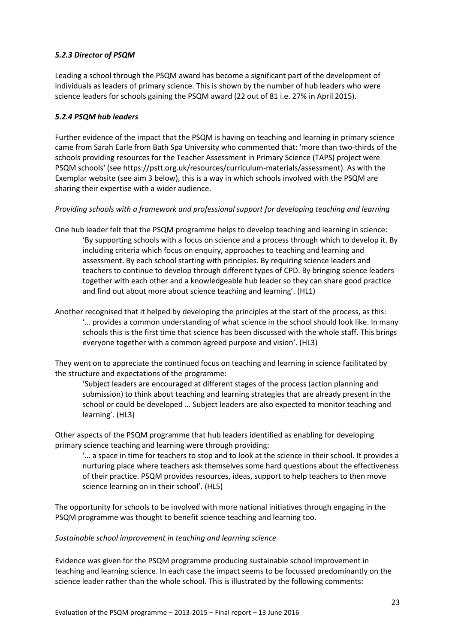# *5.2.3 Director of PSQM*

Leading a school through the PSQM award has become a significant part of the development of individuals as leaders of primary science. This is shown by the number of hub leaders who were science leaders for schools gaining the PSQM award (22 out of 81 i.e. 27% in April 2015).

## *5.2.4 PSQM hub leaders*

Further evidence of the impact that the PSQM is having on teaching and learning in primary science came from Sarah Earle from Bath Spa University who commented that: 'more than two-thirds of the schools providing resources for the Teacher Assessment in Primary Science (TAPS) project were PSQM schools' (see https://pstt.org.uk/resources/curriculum-materials/assessment). As with the Exemplar website (see aim 3 below), this is a way in which schools involved with the PSQM are sharing their expertise with a wider audience.

# *Providing schools with a framework and professional support for developing teaching and learning*

- One hub leader felt that the PSQM programme helps to develop teaching and learning in science: 'By supporting schools with a focus on science and a process through which to develop it. By including criteria which focus on enquiry, approaches to teaching and learning and assessment. By each school starting with principles. By requiring science leaders and teachers to continue to develop through different types of CPD. By bringing science leaders together with each other and a knowledgeable hub leader so they can share good practice and find out about more about science teaching and learning'. (HL1)
- Another recognised that it helped by developing the principles at the start of the process, as this: '… provides a common understanding of what science in the school should look like. In many schools this is the first time that science has been discussed with the whole staff. This brings everyone together with a common agreed purpose and vision'. (HL3)

They went on to appreciate the continued focus on teaching and learning in science facilitated by the structure and expectations of the programme:

'Subject leaders are encouraged at different stages of the process (action planning and submission) to think about teaching and learning strategies that are already present in the school or could be developed … Subject leaders are also expected to monitor teaching and learning'. (HL3)

Other aspects of the PSQM programme that hub leaders identified as enabling for developing primary science teaching and learning were through providing:

'… a space in time for teachers to stop and to look at the science in their school. It provides a nurturing place where teachers ask themselves some hard questions about the effectiveness of their practice. PSQM provides resources, ideas, support to help teachers to then move science learning on in their school'. (HL5)

The opportunity for schools to be involved with more national initiatives through engaging in the PSQM programme was thought to benefit science teaching and learning too.

## *Sustainable school improvement in teaching and learning science*

Evidence was given for the PSQM programme producing sustainable school improvement in teaching and learning science. In each case the impact seems to be focussed predominantly on the science leader rather than the whole school. This is illustrated by the following comments: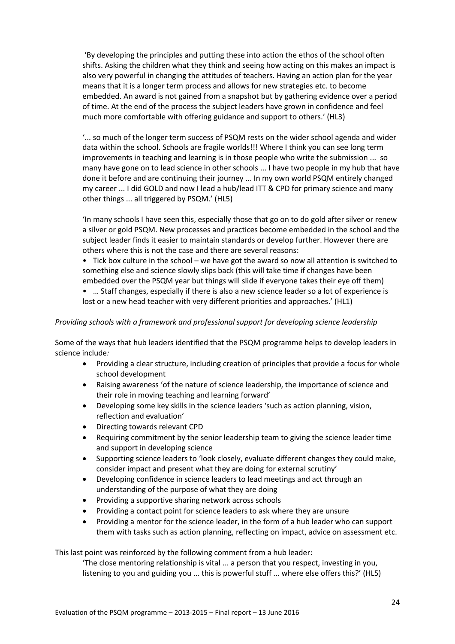'By developing the principles and putting these into action the ethos of the school often shifts. Asking the children what they think and seeing how acting on this makes an impact is also very powerful in changing the attitudes of teachers. Having an action plan for the year means that it is a longer term process and allows for new strategies etc. to become embedded. An award is not gained from a snapshot but by gathering evidence over a period of time. At the end of the process the subject leaders have grown in confidence and feel much more comfortable with offering guidance and support to others.' (HL3)

'... so much of the longer term success of PSQM rests on the wider school agenda and wider data within the school. Schools are fragile worlds!!! Where I think you can see long term improvements in teaching and learning is in those people who write the submission ... so many have gone on to lead science in other schools ... I have two people in my hub that have done it before and are continuing their journey ... In my own world PSQM entirely changed my career ... I did GOLD and now I lead a hub/lead ITT & CPD for primary science and many other things ... all triggered by PSQM.' (HL5)

'In many schools I have seen this, especially those that go on to do gold after silver or renew a silver or gold PSQM. New processes and practices become embedded in the school and the subject leader finds it easier to maintain standards or develop further. However there are others where this is not the case and there are several reasons:

• Tick box culture in the school – we have got the award so now all attention is switched to something else and science slowly slips back (this will take time if changes have been embedded over the PSQM year but things will slide if everyone takes their eye off them)

• … Staff changes, especially if there is also a new science leader so a lot of experience is lost or a new head teacher with very different priorities and approaches.' (HL1)

## *Providing schools with a framework and professional support for developing science leadership*

Some of the ways that hub leaders identified that the PSQM programme helps to develop leaders in science include*:*

- Providing a clear structure, including creation of principles that provide a focus for whole school development
- Raising awareness 'of the nature of science leadership, the importance of science and their role in moving teaching and learning forward'
- Developing some key skills in the science leaders 'such as action planning, vision, reflection and evaluation'
- Directing towards relevant CPD
- Requiring commitment by the senior leadership team to giving the science leader time and support in developing science
- Supporting science leaders to 'look closely, evaluate different changes they could make, consider impact and present what they are doing for external scrutiny'
- Developing confidence in science leaders to lead meetings and act through an understanding of the purpose of what they are doing
- Providing a supportive sharing network across schools
- Providing a contact point for science leaders to ask where they are unsure
- Providing a mentor for the science leader, in the form of a hub leader who can support them with tasks such as action planning, reflecting on impact, advice on assessment etc.

This last point was reinforced by the following comment from a hub leader:

'The close mentoring relationship is vital ... a person that you respect, investing in you, listening to you and guiding you ... this is powerful stuff ... where else offers this?' (HL5)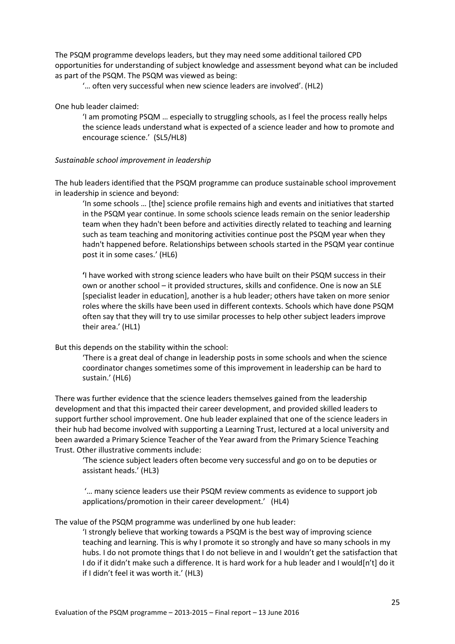The PSQM programme develops leaders, but they may need some additional tailored CPD opportunities for understanding of subject knowledge and assessment beyond what can be included as part of the PSQM. The PSQM was viewed as being:

'… often very successful when new science leaders are involved'. (HL2)

#### One hub leader claimed:

'I am promoting PSQM … especially to struggling schools, as I feel the process really helps the science leads understand what is expected of a science leader and how to promote and encourage science.' (SL5/HL8)

#### *Sustainable school improvement in leadership*

The hub leaders identified that the PSQM programme can produce sustainable school improvement in leadership in science and beyond:

'In some schools … [the] science profile remains high and events and initiatives that started in the PSQM year continue. In some schools science leads remain on the senior leadership team when they hadn't been before and activities directly related to teaching and learning such as team teaching and monitoring activities continue post the PSQM year when they hadn't happened before. Relationships between schools started in the PSQM year continue post it in some cases.' (HL6)

**'**I have worked with strong science leaders who have built on their PSQM success in their own or another school – it provided structures, skills and confidence. One is now an SLE [specialist leader in education], another is a hub leader; others have taken on more senior roles where the skills have been used in different contexts. Schools which have done PSQM often say that they will try to use similar processes to help other subject leaders improve their area.' (HL1)

But this depends on the stability within the school:

'There is a great deal of change in leadership posts in some schools and when the science coordinator changes sometimes some of this improvement in leadership can be hard to sustain.' (HL6)

There was further evidence that the science leaders themselves gained from the leadership development and that this impacted their career development, and provided skilled leaders to support further school improvement. One hub leader explained that one of the science leaders in their hub had become involved with supporting a Learning Trust, lectured at a local university and been awarded a Primary Science Teacher of the Year award from the Primary Science Teaching Trust. Other illustrative comments include:

'The science subject leaders often become very successful and go on to be deputies or assistant heads.' (HL3)

'… many science leaders use their PSQM review comments as evidence to support job applications/promotion in their career development.' (HL4)

The value of the PSQM programme was underlined by one hub leader:

'I strongly believe that working towards a PSQM is the best way of improving science teaching and learning. This is why I promote it so strongly and have so many schools in my hubs. I do not promote things that I do not believe in and I wouldn't get the satisfaction that I do if it didn't make such a difference. It is hard work for a hub leader and I would[n't] do it if I didn't feel it was worth it.' (HL3)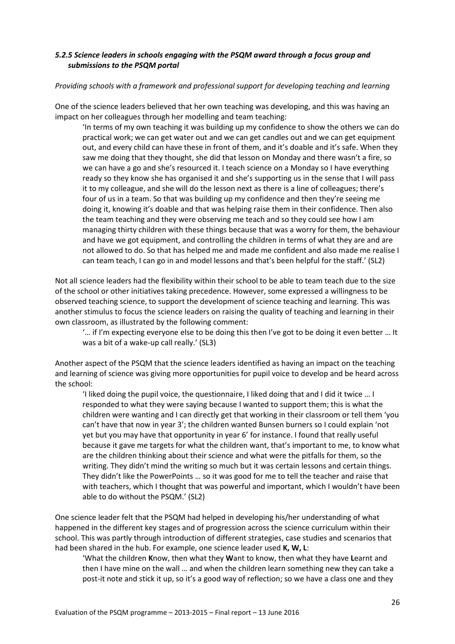# *5.2.5 Science leaders in schools engaging with the PSQM award through a focus group and submissions to the PSQM portal*

## *Providing schools with a framework and professional support for developing teaching and learning*

One of the science leaders believed that her own teaching was developing, and this was having an impact on her colleagues through her modelling and team teaching:

'In terms of my own teaching it was building up my confidence to show the others we can do practical work; we can get water out and we can get candles out and we can get equipment out, and every child can have these in front of them, and it's doable and it's safe. When they saw me doing that they thought, she did that lesson on Monday and there wasn't a fire, so we can have a go and she's resourced it. I teach science on a Monday so I have everything ready so they know she has organised it and she's supporting us in the sense that I will pass it to my colleague, and she will do the lesson next as there is a line of colleagues; there's four of us in a team. So that was building up my confidence and then they're seeing me doing it, knowing it's doable and that was helping raise them in their confidence. Then also the team teaching and they were observing me teach and so they could see how I am managing thirty children with these things because that was a worry for them, the behaviour and have we got equipment, and controlling the children in terms of what they are and are not allowed to do. So that has helped me and made me confident and also made me realise I can team teach, I can go in and model lessons and that's been helpful for the staff.' (SL2)

Not all science leaders had the flexibility within their school to be able to team teach due to the size of the school or other initiatives taking precedence. However, some expressed a willingness to be observed teaching science, to support the development of science teaching and learning. This was another stimulus to focus the science leaders on raising the quality of teaching and learning in their own classroom, as illustrated by the following comment:

'… if I'm expecting everyone else to be doing this then I've got to be doing it even better … It was a bit of a wake-up call really.' (SL3)

Another aspect of the PSQM that the science leaders identified as having an impact on the teaching and learning of science was giving more opportunities for pupil voice to develop and be heard across the school:

'I liked doing the pupil voice, the questionnaire, I liked doing that and I did it twice … I responded to what they were saying because I wanted to support them; this is what the children were wanting and I can directly get that working in their classroom or tell them 'you can't have that now in year 3'; the children wanted Bunsen burners so I could explain 'not yet but you may have that opportunity in year 6' for instance. I found that really useful because it gave me targets for what the children want, that's important to me, to know what are the children thinking about their science and what were the pitfalls for them, so the writing. They didn't mind the writing so much but it was certain lessons and certain things. They didn't like the PowerPoints … so it was good for me to tell the teacher and raise that with teachers, which I thought that was powerful and important, which I wouldn't have been able to do without the PSQM.' (SL2)

One science leader felt that the PSQM had helped in developing his/her understanding of what happened in the different key stages and of progression across the science curriculum within their school. This was partly through introduction of different strategies, case studies and scenarios that had been shared in the hub. For example, one science leader used **K, W, L**:

'What the children **K**now, then what they **W**ant to know, then what they have **L**earnt and then I have mine on the wall … and when the children learn something new they can take a post-it note and stick it up, so it's a good way of reflection; so we have a class one and they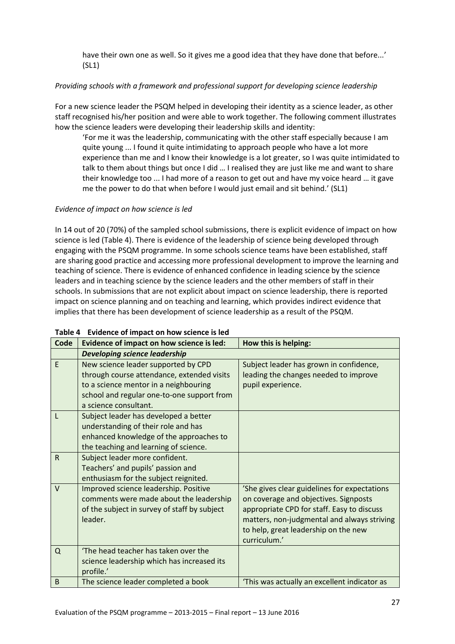have their own one as well. So it gives me a good idea that they have done that before...' (SL1)

# *Providing schools with a framework and professional support for developing science leadership*

For a new science leader the PSQM helped in developing their identity as a science leader, as other staff recognised his/her position and were able to work together. The following comment illustrates how the science leaders were developing their leadership skills and identity:

'For me it was the leadership, communicating with the other staff especially because I am quite young ... I found it quite intimidating to approach people who have a lot more experience than me and I know their knowledge is a lot greater, so I was quite intimidated to talk to them about things but once I did … I realised they are just like me and want to share their knowledge too ... I had more of a reason to get out and have my voice heard … it gave me the power to do that when before I would just email and sit behind.' (SL1)

# *Evidence of impact on how science is led*

In 14 out of 20 (70%) of the sampled school submissions, there is explicit evidence of impact on how science is led (Table 4). There is evidence of the leadership of science being developed through engaging with the PSQM programme. In some schools science teams have been established, staff are sharing good practice and accessing more professional development to improve the learning and teaching of science. There is evidence of enhanced confidence in leading science by the science leaders and in teaching science by the science leaders and the other members of staff in their schools. In submissions that are not explicit about impact on science leadership, there is reported impact on science planning and on teaching and learning, which provides indirect evidence that implies that there has been development of science leadership as a result of the PSQM.

| Code         | Evidence of impact on how science is led:    | How this is helping:                         |
|--------------|----------------------------------------------|----------------------------------------------|
|              | <b>Developing science leadership</b>         |                                              |
| E            | New science leader supported by CPD          | Subject leader has grown in confidence,      |
|              | through course attendance, extended visits   | leading the changes needed to improve        |
|              | to a science mentor in a neighbouring        | pupil experience.                            |
|              | school and regular one-to-one support from   |                                              |
|              | a science consultant.                        |                                              |
| L            | Subject leader has developed a better        |                                              |
|              | understanding of their role and has          |                                              |
|              | enhanced knowledge of the approaches to      |                                              |
|              | the teaching and learning of science.        |                                              |
| $\mathsf{R}$ | Subject leader more confident.               |                                              |
|              | Teachers' and pupils' passion and            |                                              |
|              | enthusiasm for the subject reignited.        |                                              |
| $\vee$       | Improved science leadership. Positive        | 'She gives clear guidelines for expectations |
|              | comments were made about the leadership      | on coverage and objectives. Signposts        |
|              | of the subject in survey of staff by subject | appropriate CPD for staff. Easy to discuss   |
|              | leader.                                      | matters, non-judgmental and always striving  |
|              |                                              | to help, great leadership on the new         |
|              |                                              | curriculum.'                                 |
| Q            | 'The head teacher has taken over the         |                                              |
|              | science leadership which has increased its   |                                              |
|              | profile.'                                    |                                              |
| B            | The science leader completed a book          | 'This was actually an excellent indicator as |

## **Table 4 Evidence of impact on how science is led**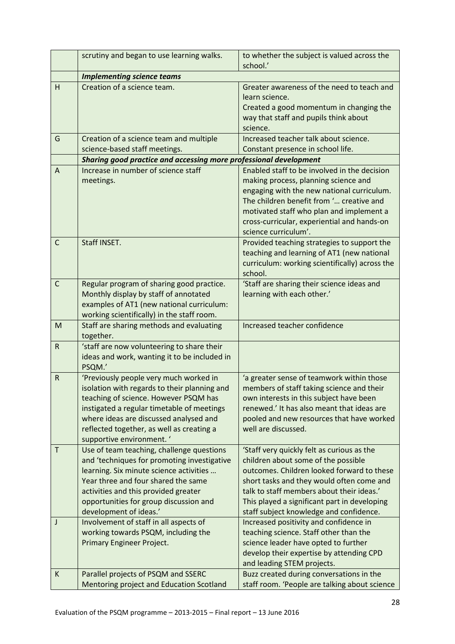|              | scrutiny and began to use learning walks.                                                            | to whether the subject is valued across the<br>school.'                                                                                                                                                                                           |
|--------------|------------------------------------------------------------------------------------------------------|---------------------------------------------------------------------------------------------------------------------------------------------------------------------------------------------------------------------------------------------------|
|              | <b>Implementing science teams</b>                                                                    |                                                                                                                                                                                                                                                   |
| H            | Creation of a science team.                                                                          | Greater awareness of the need to teach and<br>learn science.<br>Created a good momentum in changing the<br>way that staff and pupils think about<br>science.                                                                                      |
| G            | Creation of a science team and multiple                                                              | Increased teacher talk about science.                                                                                                                                                                                                             |
|              | science-based staff meetings.                                                                        | Constant presence in school life.                                                                                                                                                                                                                 |
|              | Sharing good practice and accessing more professional development                                    |                                                                                                                                                                                                                                                   |
| A            | Increase in number of science staff                                                                  | Enabled staff to be involved in the decision                                                                                                                                                                                                      |
|              | meetings.                                                                                            | making process, planning science and<br>engaging with the new national curriculum.<br>The children benefit from ' creative and<br>motivated staff who plan and implement a<br>cross-curricular, experiential and hands-on<br>science curriculum'. |
| $\mathsf{C}$ | Staff INSET.                                                                                         | Provided teaching strategies to support the<br>teaching and learning of AT1 (new national<br>curriculum: working scientifically) across the<br>school.                                                                                            |
| C            | Regular program of sharing good practice.                                                            | 'Staff are sharing their science ideas and                                                                                                                                                                                                        |
|              | Monthly display by staff of annotated                                                                | learning with each other.'                                                                                                                                                                                                                        |
|              | examples of AT1 (new national curriculum:                                                            |                                                                                                                                                                                                                                                   |
|              | working scientifically) in the staff room.                                                           |                                                                                                                                                                                                                                                   |
| M            | Staff are sharing methods and evaluating<br>together.                                                | Increased teacher confidence                                                                                                                                                                                                                      |
| $\mathsf R$  | 'staff are now volunteering to share their<br>ideas and work, wanting it to be included in<br>PSQM.' |                                                                                                                                                                                                                                                   |
| ${\sf R}$    | 'Previously people very much worked in                                                               | 'a greater sense of teamwork within those                                                                                                                                                                                                         |
|              | isolation with regards to their planning and                                                         | members of staff taking science and their                                                                                                                                                                                                         |
|              | teaching of science. However PSQM has                                                                | own interests in this subject have been                                                                                                                                                                                                           |
|              | instigated a regular timetable of meetings                                                           | renewed.' It has also meant that ideas are                                                                                                                                                                                                        |
|              | where ideas are discussed analysed and                                                               | pooled and new resources that have worked                                                                                                                                                                                                         |
|              | reflected together, as well as creating a                                                            | well are discussed.                                                                                                                                                                                                                               |
|              | supportive environment. '                                                                            |                                                                                                                                                                                                                                                   |
| $\mathsf T$  | Use of team teaching, challenge questions                                                            | 'Staff very quickly felt as curious as the                                                                                                                                                                                                        |
|              | and 'techniques for promoting investigative<br>learning. Six minute science activities               | children about some of the possible<br>outcomes. Children looked forward to these                                                                                                                                                                 |
|              | Year three and four shared the same                                                                  | short tasks and they would often come and                                                                                                                                                                                                         |
|              | activities and this provided greater                                                                 | talk to staff members about their ideas.'                                                                                                                                                                                                         |
|              | opportunities for group discussion and                                                               | This played a significant part in developing                                                                                                                                                                                                      |
|              | development of ideas.'                                                                               | staff subject knowledge and confidence.                                                                                                                                                                                                           |
| J            | Involvement of staff in all aspects of                                                               | Increased positivity and confidence in                                                                                                                                                                                                            |
|              | working towards PSQM, including the                                                                  | teaching science. Staff other than the                                                                                                                                                                                                            |
|              | Primary Engineer Project.                                                                            | science leader have opted to further                                                                                                                                                                                                              |
|              |                                                                                                      | develop their expertise by attending CPD                                                                                                                                                                                                          |
|              |                                                                                                      | and leading STEM projects.                                                                                                                                                                                                                        |
| К            | Parallel projects of PSQM and SSERC                                                                  | Buzz created during conversations in the                                                                                                                                                                                                          |
|              | Mentoring project and Education Scotland                                                             | staff room. 'People are talking about science                                                                                                                                                                                                     |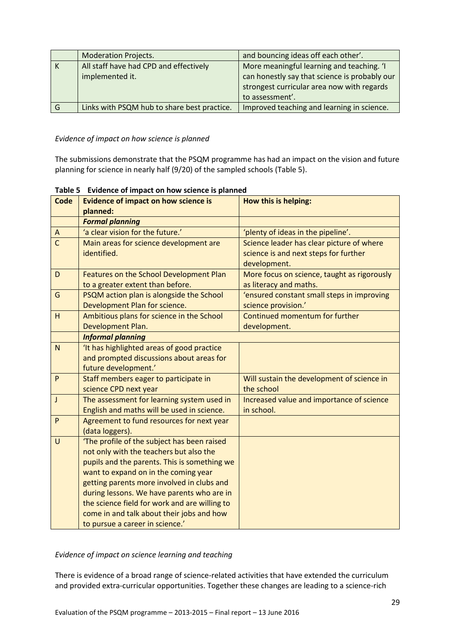|     | <b>Moderation Projects.</b>                 | and bouncing ideas off each other'.           |
|-----|---------------------------------------------|-----------------------------------------------|
| ΙK  | All staff have had CPD and effectively      | More meaningful learning and teaching. 'I     |
|     | implemented it.                             | can honestly say that science is probably our |
|     |                                             | strongest curricular area now with regards    |
|     |                                             | to assessment'.                               |
| l G | Links with PSQM hub to share best practice. | Improved teaching and learning in science.    |

## *Evidence of impact on how science is planned*

The submissions demonstrate that the PSQM programme has had an impact on the vision and future planning for science in nearly half (9/20) of the sampled schools (Table 5).

| <b>Code</b>    | <b>Evidence of impact on how science is</b>   | How this is helping:                        |
|----------------|-----------------------------------------------|---------------------------------------------|
|                | planned:                                      |                                             |
|                | <b>Formal planning</b>                        |                                             |
| A              | 'a clear vision for the future.'              | 'plenty of ideas in the pipeline'.          |
| $\overline{c}$ | Main areas for science development are        | Science leader has clear picture of where   |
|                | identified.                                   | science is and next steps for further       |
|                |                                               | development.                                |
| D              | Features on the School Development Plan       | More focus on science, taught as rigorously |
|                | to a greater extent than before.              | as literacy and maths.                      |
| G              | PSQM action plan is alongside the School      | 'ensured constant small steps in improving  |
|                | Development Plan for science.                 | science provision.'                         |
| H              | Ambitious plans for science in the School     | Continued momentum for further              |
|                | Development Plan.                             | development.                                |
|                | <b>Informal planning</b>                      |                                             |
| $\overline{N}$ | 'It has highlighted areas of good practice    |                                             |
|                | and prompted discussions about areas for      |                                             |
|                | future development.'                          |                                             |
| $\mathsf{P}$   | Staff members eager to participate in         | Will sustain the development of science in  |
|                | science CPD next year                         | the school                                  |
| $\mathsf J$    | The assessment for learning system used in    | Increased value and importance of science   |
|                | English and maths will be used in science.    | in school.                                  |
| $\mathsf{P}$   | Agreement to fund resources for next year     |                                             |
|                | (data loggers).                               |                                             |
| U              | 'The profile of the subject has been raised   |                                             |
|                | not only with the teachers but also the       |                                             |
|                | pupils and the parents. This is something we  |                                             |
|                | want to expand on in the coming year          |                                             |
|                | getting parents more involved in clubs and    |                                             |
|                | during lessons. We have parents who are in    |                                             |
|                | the science field for work and are willing to |                                             |
|                | come in and talk about their jobs and how     |                                             |
|                | to pursue a career in science.'               |                                             |

# **Table 5 Evidence of impact on how science is planned**

## *Evidence of impact on science learning and teaching*

There is evidence of a broad range of science-related activities that have extended the curriculum and provided extra-curricular opportunities. Together these changes are leading to a science-rich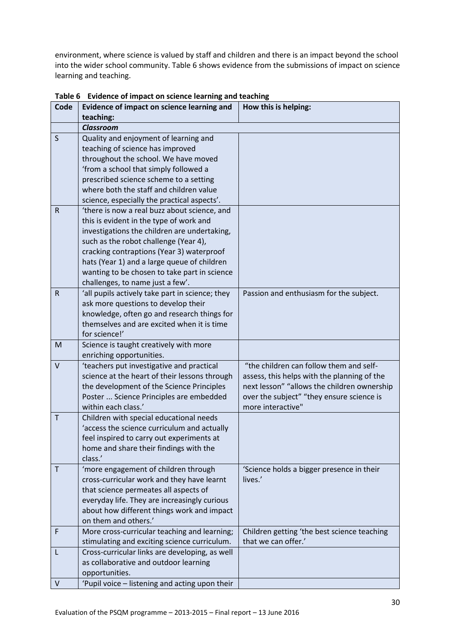environment, where science is valued by staff and children and there is an impact beyond the school into the wider school community. Table 6 shows evidence from the submissions of impact on science learning and teaching.

| Code         | Evidence of impact on science learning and                                                     | How this is helping:                                 |
|--------------|------------------------------------------------------------------------------------------------|------------------------------------------------------|
|              | teaching:                                                                                      |                                                      |
|              | <b>Classroom</b>                                                                               |                                                      |
| S            | Quality and enjoyment of learning and                                                          |                                                      |
|              | teaching of science has improved                                                               |                                                      |
|              | throughout the school. We have moved                                                           |                                                      |
|              | 'from a school that simply followed a                                                          |                                                      |
|              | prescribed science scheme to a setting                                                         |                                                      |
|              | where both the staff and children value                                                        |                                                      |
|              | science, especially the practical aspects'.                                                    |                                                      |
| R            | 'there is now a real buzz about science, and                                                   |                                                      |
|              | this is evident in the type of work and                                                        |                                                      |
|              | investigations the children are undertaking,                                                   |                                                      |
|              | such as the robot challenge (Year 4),                                                          |                                                      |
|              | cracking contraptions (Year 3) waterproof                                                      |                                                      |
|              | hats (Year 1) and a large queue of children                                                    |                                                      |
|              | wanting to be chosen to take part in science                                                   |                                                      |
|              | challenges, to name just a few'.                                                               |                                                      |
| R            | 'all pupils actively take part in science; they                                                | Passion and enthusiasm for the subject.              |
|              | ask more questions to develop their                                                            |                                                      |
|              | knowledge, often go and research things for                                                    |                                                      |
|              | themselves and are excited when it is time                                                     |                                                      |
|              | for science!'                                                                                  |                                                      |
| M            | Science is taught creatively with more                                                         |                                                      |
|              | enriching opportunities.                                                                       |                                                      |
| $\vee$       | 'teachers put investigative and practical                                                      | "the children can follow them and self-              |
|              | science at the heart of their lessons through                                                  | assess, this helps with the planning of the          |
|              | the development of the Science Principles                                                      | next lesson" "allows the children ownership          |
|              | Poster  Science Principles are embedded                                                        | over the subject" "they ensure science is            |
|              | within each class.'                                                                            | more interactive"                                    |
| $\mathsf T$  | Children with special educational needs                                                        |                                                      |
|              | 'access the science curriculum and actually                                                    |                                                      |
|              | feel inspired to carry out experiments at                                                      |                                                      |
|              | home and share their findings with the                                                         |                                                      |
|              | class.'                                                                                        |                                                      |
| $\mathsf{T}$ | 'more engagement of children through                                                           | 'Science holds a bigger presence in their<br>lives.' |
|              | cross-curricular work and they have learnt                                                     |                                                      |
|              | that science permeates all aspects of<br>everyday life. They are increasingly curious          |                                                      |
|              | about how different things work and impact                                                     |                                                      |
|              | on them and others.'                                                                           |                                                      |
| F            | More cross-curricular teaching and learning;                                                   | Children getting 'the best science teaching          |
|              |                                                                                                | that we can offer.'                                  |
| L            | stimulating and exciting science curriculum.<br>Cross-curricular links are developing, as well |                                                      |
|              | as collaborative and outdoor learning                                                          |                                                      |
|              | opportunities.                                                                                 |                                                      |
| $\vee$       |                                                                                                |                                                      |
|              | 'Pupil voice - listening and acting upon their                                                 |                                                      |

**Table 6 Evidence of impact on science learning and teaching**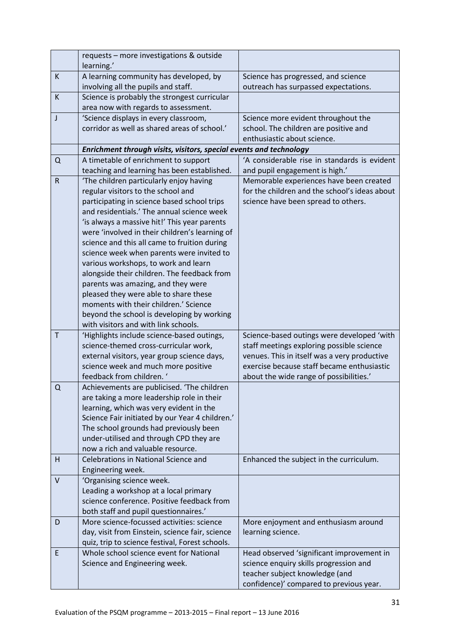|             | requests - more investigations & outside<br>learning.'                               |                                                                                           |
|-------------|--------------------------------------------------------------------------------------|-------------------------------------------------------------------------------------------|
| K           | A learning community has developed, by                                               | Science has progressed, and science                                                       |
|             | involving all the pupils and staff.                                                  | outreach has surpassed expectations.                                                      |
| К           | Science is probably the strongest curricular                                         |                                                                                           |
|             | area now with regards to assessment.                                                 |                                                                                           |
| J           | 'Science displays in every classroom,                                                | Science more evident throughout the                                                       |
|             | corridor as well as shared areas of school.'                                         | school. The children are positive and                                                     |
|             |                                                                                      | enthusiastic about science.                                                               |
|             | Enrichment through visits, visitors, special events and technology                   |                                                                                           |
| $\Omega$    | A timetable of enrichment to support                                                 | 'A considerable rise in standards is evident                                              |
|             | teaching and learning has been established.                                          | and pupil engagement is high.'                                                            |
| $\mathsf R$ | 'The children particularly enjoy having                                              | Memorable experiences have been created                                                   |
|             | regular visitors to the school and                                                   | for the children and the school's ideas about                                             |
|             | participating in science based school trips                                          | science have been spread to others.                                                       |
|             | and residentials.' The annual science week                                           |                                                                                           |
|             | 'is always a massive hit!' This year parents                                         |                                                                                           |
|             | were 'involved in their children's learning of                                       |                                                                                           |
|             | science and this all came to fruition during                                         |                                                                                           |
|             | science week when parents were invited to                                            |                                                                                           |
|             | various workshops, to work and learn                                                 |                                                                                           |
|             | alongside their children. The feedback from                                          |                                                                                           |
|             | parents was amazing, and they were                                                   |                                                                                           |
|             | pleased they were able to share these                                                |                                                                                           |
|             | moments with their children.' Science                                                |                                                                                           |
|             | beyond the school is developing by working                                           |                                                                                           |
|             | with visitors and with link schools.                                                 |                                                                                           |
| $\mathsf T$ | 'Highlights include science-based outings,                                           | Science-based outings were developed 'with                                                |
|             | science-themed cross-curricular work,<br>external visitors, year group science days, | staff meetings exploring possible science<br>venues. This in itself was a very productive |
|             | science week and much more positive                                                  | exercise because staff became enthusiastic                                                |
|             | feedback from children. '                                                            | about the wide range of possibilities.'                                                   |
| Q           | Achievements are publicised. 'The children                                           |                                                                                           |
|             | are taking a more leadership role in their                                           |                                                                                           |
|             | learning, which was very evident in the                                              |                                                                                           |
|             | Science Fair initiated by our Year 4 children.'                                      |                                                                                           |
|             | The school grounds had previously been                                               |                                                                                           |
|             | under-utilised and through CPD they are                                              |                                                                                           |
|             | now a rich and valuable resource.                                                    |                                                                                           |
| H           | Celebrations in National Science and                                                 | Enhanced the subject in the curriculum.                                                   |
|             | Engineering week.                                                                    |                                                                                           |
| V           | 'Organising science week.                                                            |                                                                                           |
|             | Leading a workshop at a local primary                                                |                                                                                           |
|             | science conference. Positive feedback from                                           |                                                                                           |
|             | both staff and pupil questionnaires.'                                                |                                                                                           |
| D           | More science-focussed activities: science                                            | More enjoyment and enthusiasm around                                                      |
|             | day, visit from Einstein, science fair, science                                      | learning science.                                                                         |
|             | quiz, trip to science festival, Forest schools.                                      |                                                                                           |
| E           | Whole school science event for National                                              | Head observed 'significant improvement in                                                 |
|             | Science and Engineering week.                                                        | science enquiry skills progression and                                                    |
|             |                                                                                      | teacher subject knowledge (and                                                            |
|             |                                                                                      | confidence)' compared to previous year.                                                   |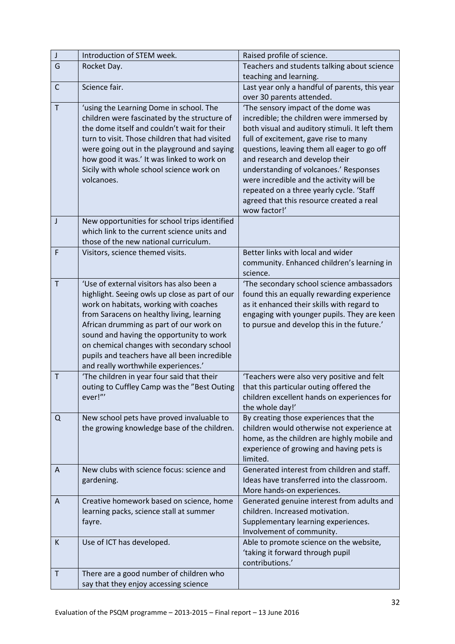| $\mathsf{J}$ | Introduction of STEM week.                                                       | Raised profile of science.                                |
|--------------|----------------------------------------------------------------------------------|-----------------------------------------------------------|
| G            | Rocket Day.                                                                      | Teachers and students talking about science               |
|              |                                                                                  | teaching and learning.                                    |
| $\mathsf{C}$ | Science fair.                                                                    | Last year only a handful of parents, this year            |
|              |                                                                                  | over 30 parents attended.                                 |
| $\mathsf{T}$ | 'using the Learning Dome in school. The                                          | 'The sensory impact of the dome was                       |
|              | children were fascinated by the structure of                                     | incredible; the children were immersed by                 |
|              | the dome itself and couldn't wait for their                                      | both visual and auditory stimuli. It left them            |
|              | turn to visit. Those children that had visited                                   | full of excitement, gave rise to many                     |
|              | were going out in the playground and saying                                      | questions, leaving them all eager to go off               |
|              | how good it was.' It was linked to work on                                       | and research and develop their                            |
|              | Sicily with whole school science work on                                         | understanding of volcanoes.' Responses                    |
|              | volcanoes.                                                                       | were incredible and the activity will be                  |
|              |                                                                                  | repeated on a three yearly cycle. 'Staff                  |
|              |                                                                                  | agreed that this resource created a real                  |
|              |                                                                                  | wow factor!'                                              |
| J            | New opportunities for school trips identified                                    |                                                           |
|              | which link to the current science units and                                      |                                                           |
| $\mathsf F$  | those of the new national curriculum.<br>Visitors, science themed visits.        | Better links with local and wider                         |
|              |                                                                                  | community. Enhanced children's learning in                |
|              |                                                                                  | science.                                                  |
| Τ            | 'Use of external visitors has also been a                                        | 'The secondary school science ambassadors                 |
|              | highlight. Seeing owls up close as part of our                                   | found this an equally rewarding experience                |
|              | work on habitats, working with coaches                                           | as it enhanced their skills with regard to                |
|              | from Saracens on healthy living, learning                                        | engaging with younger pupils. They are keen               |
|              | African drumming as part of our work on                                          | to pursue and develop this in the future.'                |
|              | sound and having the opportunity to work                                         |                                                           |
|              | on chemical changes with secondary school                                        |                                                           |
|              | pupils and teachers have all been incredible                                     |                                                           |
|              | and really worthwhile experiences.'                                              |                                                           |
| $\mathsf T$  | 'The children in year four said that their                                       | 'Teachers were also very positive and felt                |
|              | outing to Cuffley Camp was the "Best Outing                                      | that this particular outing offered the                   |
|              | ever!"'                                                                          | children excellent hands on experiences for               |
| Q            | New school pets have proved invaluable to                                        | the whole day!'<br>By creating those experiences that the |
|              | the growing knowledge base of the children.                                      | children would otherwise not experience at                |
|              |                                                                                  | home, as the children are highly mobile and               |
|              |                                                                                  | experience of growing and having pets is                  |
|              |                                                                                  | limited.                                                  |
| A            | New clubs with science focus: science and                                        | Generated interest from children and staff.               |
|              | gardening.                                                                       | Ideas have transferred into the classroom.                |
|              |                                                                                  | More hands-on experiences.                                |
| A            | Creative homework based on science, home                                         | Generated genuine interest from adults and                |
|              | learning packs, science stall at summer                                          | children. Increased motivation.                           |
|              | fayre.                                                                           | Supplementary learning experiences.                       |
|              |                                                                                  | Involvement of community.                                 |
| K            | Use of ICT has developed.                                                        | Able to promote science on the website,                   |
|              |                                                                                  | 'taking it forward through pupil                          |
| $\sf T$      |                                                                                  | contributions.'                                           |
|              | There are a good number of children who<br>say that they enjoy accessing science |                                                           |
|              |                                                                                  |                                                           |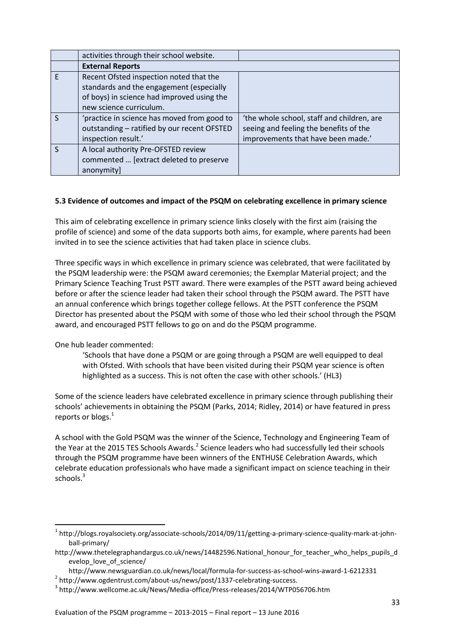|   | activities through their school website.    |                                            |
|---|---------------------------------------------|--------------------------------------------|
|   | <b>External Reports</b>                     |                                            |
| F | Recent Ofsted inspection noted that the     |                                            |
|   | standards and the engagement (especially    |                                            |
|   | of boys) in science had improved using the  |                                            |
|   | new science curriculum.                     |                                            |
|   | 'practice in science has moved from good to | 'the whole school, staff and children, are |
|   | outstanding - ratified by our recent OFSTED | seeing and feeling the benefits of the     |
|   | inspection result.'                         | improvements that have been made.'         |
|   | A local authority Pre-OFSTED review         |                                            |
|   | commented  [extract deleted to preserve     |                                            |
|   | anonymity]                                  |                                            |

# **5.3 Evidence of outcomes and impact of the PSQM on celebrating excellence in primary science**

This aim of celebrating excellence in primary science links closely with the first aim (raising the profile of science) and some of the data supports both aims, for example, where parents had been invited in to see the science activities that had taken place in science clubs.

Three specific ways in which excellence in primary science was celebrated, that were facilitated by the PSQM leadership were: the PSQM award ceremonies; the Exemplar Material project; and the Primary Science Teaching Trust PSTT award. There were examples of the PSTT award being achieved before or after the science leader had taken their school through the PSQM award. The PSTT have an annual conference which brings together college fellows. At the PSTT conference the PSQM Director has presented about the PSQM with some of those who led their school through the PSQM award, and encouraged PSTT fellows to go on and do the PSQM programme.

One hub leader commented:

**.** 

'Schools that have done a PSQM or are going through a PSQM are well equipped to deal with Ofsted. With schools that have been visited during their PSQM year science is often highlighted as a success. This is not often the case with other schools.' (HL3)

Some of the science leaders have celebrated excellence in primary science through publishing their schools' achievements in obtaining the PSQM (Parks, 2014; Ridley, 2014) or have featured in press reports or blogs.<sup>1</sup>

A school with the Gold PSQM was the winner of the Science, Technology and Engineering Team of the Year at the 2015 TES Schools Awards.<sup>2</sup> Science leaders who had successfully led their schools through the PSQM programme have been winners of the ENTHUSE Celebration Awards, which celebrate education professionals who have made a significant impact on science teaching in their schools.<sup>3</sup>

<sup>&</sup>lt;sup>1</sup> [http://blogs.royalsociety.org/associate-schools/2014/09/11/getting-a-primary-science-quality-mark-at-john](http://blogs.royalsociety.org/associate-schools/2014/09/11/getting-a-primary-science-quality-mark-at-john-ball-primary/)[ball-primary/](http://blogs.royalsociety.org/associate-schools/2014/09/11/getting-a-primary-science-quality-mark-at-john-ball-primary/)

http://www.thetelegraphandargus.co.uk/news/14482596.National\_honour\_for\_teacher\_who\_helps\_pupils\_d evelop\_love\_of\_science/

<http://www.newsguardian.co.uk/news/local/formula-for-success-as-school-wins-award-1-6212331>

<sup>&</sup>lt;sup>2</sup> [http://www.ogdentrust.com/about-us/news/post/1337-celebrating-success.](http://www.ogdentrust.com/about-us/news/post/1337-celebrating-success)

<sup>3</sup> <http://www.wellcome.ac.uk/News/Media-office/Press-releases/2014/WTP056706.htm>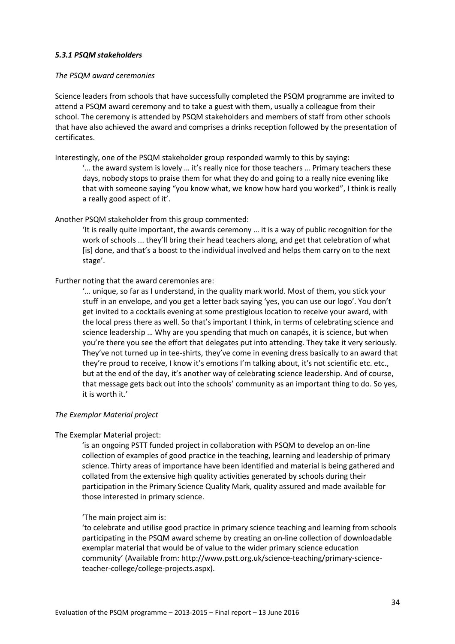#### *5.3.1 PSQM stakeholders*

#### *The PSQM award ceremonies*

Science leaders from schools that have successfully completed the PSQM programme are invited to attend a PSQM award ceremony and to take a guest with them, usually a colleague from their school. The ceremony is attended by PSQM stakeholders and members of staff from other schools that have also achieved the award and comprises a drinks reception followed by the presentation of certificates.

Interestingly, one of the PSQM stakeholder group responded warmly to this by saying:

'… the award system is lovely … it's really nice for those teachers … Primary teachers these days, nobody stops to praise them for what they do and going to a really nice evening like that with someone saying "you know what, we know how hard you worked", I think is really a really good aspect of it'.

#### Another PSQM stakeholder from this group commented:

'It is really quite important, the awards ceremony … it is a way of public recognition for the work of schools ... they'll bring their head teachers along, and get that celebration of what [is] done, and that's a boost to the individual involved and helps them carry on to the next stage'.

#### Further noting that the award ceremonies are:

'… unique, so far as I understand, in the quality mark world. Most of them, you stick your stuff in an envelope, and you get a letter back saying 'yes, you can use our logo'. You don't get invited to a cocktails evening at some prestigious location to receive your award, with the local press there as well. So that's important I think, in terms of celebrating science and science leadership … Why are you spending that much on canapés, it is science, but when you're there you see the effort that delegates put into attending. They take it very seriously. They've not turned up in tee-shirts, they've come in evening dress basically to an award that they're proud to receive, I know it's emotions I'm talking about, it's not scientific etc. etc., but at the end of the day, it's another way of celebrating science leadership. And of course, that message gets back out into the schools' community as an important thing to do. So yes, it is worth it.'

#### *The Exemplar Material project*

## The Exemplar Material project:

'is an ongoing PSTT funded project in collaboration with PSQM to develop an on-line collection of examples of good practice in the teaching, learning and leadership of primary science. Thirty areas of importance have been identified and material is being gathered and collated from the extensive high quality activities generated by schools during their participation in the Primary Science Quality Mark, quality assured and made available for those interested in primary science.

#### 'The main project aim is:

'to celebrate and utilise good practice in primary science teaching and learning from schools participating in the PSQM award scheme by creating an on-line collection of downloadable exemplar material that would be of value to the wider primary science education community' (Available from: [http://www.pstt.org.uk/science-teaching/primary-science](http://www.pstt.org.uk/science-teaching/primary-science-teacher-college/college-projects.aspx)[teacher-college/college-projects.aspx\)](http://www.pstt.org.uk/science-teaching/primary-science-teacher-college/college-projects.aspx).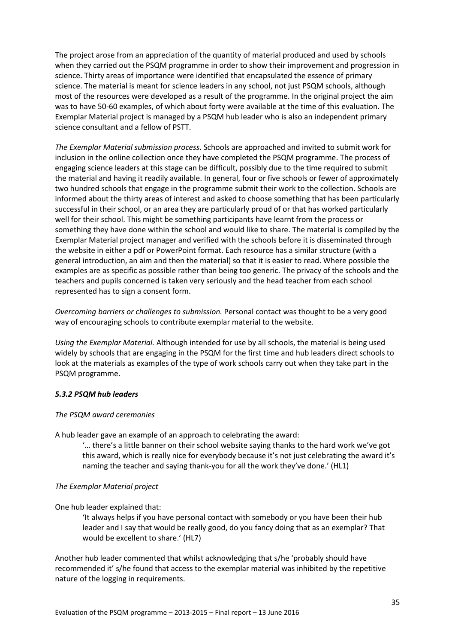The project arose from an appreciation of the quantity of material produced and used by schools when they carried out the PSQM programme in order to show their improvement and progression in science. Thirty areas of importance were identified that encapsulated the essence of primary science. The material is meant for science leaders in any school, not just PSQM schools, although most of the resources were developed as a result of the programme. In the original project the aim was to have 50-60 examples, of which about forty were available at the time of this evaluation. The Exemplar Material project is managed by a PSQM hub leader who is also an independent primary science consultant and a fellow of PSTT.

*The Exemplar Material submission process.* Schools are approached and invited to submit work for inclusion in the online collection once they have completed the PSQM programme. The process of engaging science leaders at this stage can be difficult, possibly due to the time required to submit the material and having it readily available. In general, four or five schools or fewer of approximately two hundred schools that engage in the programme submit their work to the collection. Schools are informed about the thirty areas of interest and asked to choose something that has been particularly successful in their school, or an area they are particularly proud of or that has worked particularly well for their school. This might be something participants have learnt from the process or something they have done within the school and would like to share. The material is compiled by the Exemplar Material project manager and verified with the schools before it is disseminated through the website in either a pdf or PowerPoint format. Each resource has a similar structure (with a general introduction, an aim and then the material) so that it is easier to read. Where possible the examples are as specific as possible rather than being too generic. The privacy of the schools and the teachers and pupils concerned is taken very seriously and the head teacher from each school represented has to sign a consent form.

*Overcoming barriers or challenges to submission.* Personal contact was thought to be a very good way of encouraging schools to contribute exemplar material to the website.

*Using the Exemplar Material.* Although intended for use by all schools, the material is being used widely by schools that are engaging in the PSQM for the first time and hub leaders direct schools to look at the materials as examples of the type of work schools carry out when they take part in the PSQM programme.

## *5.3.2 PSQM hub leaders*

#### *The PSQM award ceremonies*

A hub leader gave an example of an approach to celebrating the award:

'… there's a little banner on their school website saying thanks to the hard work we've got this award, which is really nice for everybody because it's not just celebrating the award it's naming the teacher and saying thank-you for all the work they've done.' (HL1)

## *The Exemplar Material project*

One hub leader explained that:

'It always helps if you have personal contact with somebody or you have been their hub leader and I say that would be really good, do you fancy doing that as an exemplar? That would be excellent to share.' (HL7)

Another hub leader commented that whilst acknowledging that s/he 'probably should have recommended it' s/he found that access to the exemplar material was inhibited by the repetitive nature of the logging in requirements.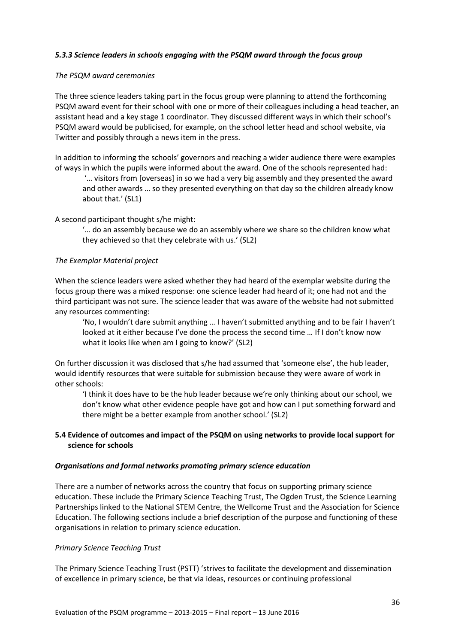# *5.3.3 Science leaders in schools engaging with the PSQM award through the focus group*

## *The PSQM award ceremonies*

The three science leaders taking part in the focus group were planning to attend the forthcoming PSQM award event for their school with one or more of their colleagues including a head teacher, an assistant head and a key stage 1 coordinator. They discussed different ways in which their school's PSQM award would be publicised, for example, on the school letter head and school website, via Twitter and possibly through a news item in the press.

In addition to informing the schools' governors and reaching a wider audience there were examples of ways in which the pupils were informed about the award. One of the schools represented had:

'… visitors from [overseas] in so we had a very big assembly and they presented the award and other awards … so they presented everything on that day so the children already know about that.' (SL1)

A second participant thought s/he might:

'… do an assembly because we do an assembly where we share so the children know what they achieved so that they celebrate with us.' (SL2)

#### *The Exemplar Material project*

When the science leaders were asked whether they had heard of the exemplar website during the focus group there was a mixed response: one science leader had heard of it; one had not and the third participant was not sure. The science leader that was aware of the website had not submitted any resources commenting:

'No, I wouldn't dare submit anything … I haven't submitted anything and to be fair I haven't looked at it either because I've done the process the second time … If I don't know now what it looks like when am I going to know?' (SL2)

On further discussion it was disclosed that s/he had assumed that 'someone else', the hub leader, would identify resources that were suitable for submission because they were aware of work in other schools:

'I think it does have to be the hub leader because we're only thinking about our school, we don't know what other evidence people have got and how can I put something forward and there might be a better example from another school.' (SL2)

## **5.4 Evidence of outcomes and impact of the PSQM on using networks to provide local support for science for schools**

#### *Organisations and formal networks promoting primary science education*

There are a number of networks across the country that focus on supporting primary science education. These include the Primary Science Teaching Trust, The Ogden Trust, the Science Learning Partnerships linked to the National STEM Centre, the Wellcome Trust and the Association for Science Education. The following sections include a brief description of the purpose and functioning of these organisations in relation to primary science education.

#### *Primary Science Teaching Trust*

The Primary Science Teaching Trust (PSTT) 'strives to facilitate the development and dissemination of excellence in primary science, be that via ideas, resources or continuing professional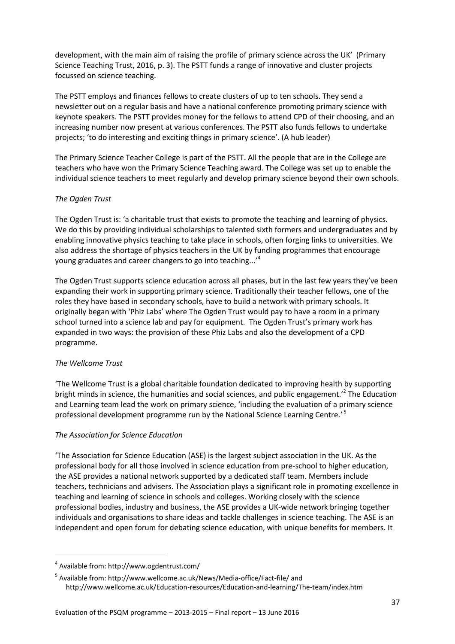development, with the main aim of raising the profile of primary science across the UK' (Primary Science Teaching Trust, 2016, p. 3). The PSTT funds a range of innovative and cluster projects focussed on science teaching.

The PSTT employs and finances fellows to create clusters of up to ten schools. They send a newsletter out on a regular basis and have a national conference promoting primary science with keynote speakers. The PSTT provides money for the fellows to attend CPD of their choosing, and an increasing number now present at various conferences. The PSTT also funds fellows to undertake projects; 'to do interesting and exciting things in primary science'. (A hub leader)

The Primary Science Teacher College is part of the PSTT. All the people that are in the College are teachers who have won the Primary Science Teaching award. The College was set up to enable the individual science teachers to meet regularly and develop primary science beyond their own schools.

# *The Ogden Trust*

The Ogden Trust is: 'a charitable trust that exists to promote the teaching and learning of physics. We do this by providing individual scholarships to talented sixth formers and undergraduates and by enabling innovative physics teaching to take place in schools, often forging links to universities. We also address the shortage of physics teachers in the UK by funding programmes that encourage young graduates and career changers to go into teaching...'<sup>4</sup>

The Ogden Trust supports science education across all phases, but in the last few years they've been expanding their work in supporting primary science. Traditionally their teacher fellows, one of the roles they have based in secondary schools, have to build a network with primary schools. It originally began with 'Phiz Labs' where The Ogden Trust would pay to have a room in a primary school turned into a science lab and pay for equipment. The Ogden Trust's primary work has expanded in two ways: the provision of these Phiz Labs and also the development of a CPD programme.

## *The Wellcome Trust*

**.** 

'The Wellcome Trust is a global charitable foundation dedicated to improving health by supporting bright minds in science, the humanities and social sciences, and public engagement.<sup>2</sup> The Education and Learning team lead the work on primary science, 'including the evaluation of a primary science professional development programme run by the National Science Learning Centre.' 5

# *The Association for Science Education*

'The Association for Science Education (ASE) is the largest subject association in the UK. As the professional body for all those involved in science education from pre-school to higher education, the ASE provides a national network supported by a dedicated staff team. Members include teachers, technicians and advisers. The Association plays a significant role in promoting excellence in teaching and learning of science in schools and colleges. Working closely with the science professional bodies, industry and business, the ASE provides a UK-wide network bringing together individuals and organisations to share ideas and tackle challenges in science teaching. The ASE is an independent and open forum for debating science education, with unique benefits for members. It

<sup>4</sup> Available from[: http://www.ogdentrust.com/](http://www.ogdentrust.com/)

<sup>5</sup> Available from[: http://www.wellcome.ac.uk/News/Media-office/Fact-file/](http://www.wellcome.ac.uk/News/Media-office/Fact-file/) and <http://www.wellcome.ac.uk/Education-resources/Education-and-learning/The-team/index.htm>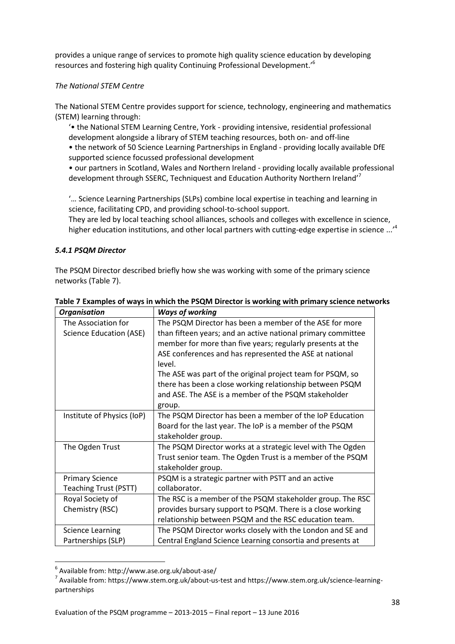provides a unique range of services to promote high quality science education by developing resources and fostering high quality Continuing Professional Development.'<sup>6</sup>

## *The National STEM Centre*

The National STEM Centre provides support for science, technology, engineering and mathematics (STEM) learning through:

'• the National STEM Learning Centre, York - providing intensive, residential professional development alongside a library of STEM teaching resources, both on- and off-line

• the network of 50 Science Learning Partnerships in England - providing locally available DfE supported science focussed professional development

• our partners in Scotland, Wales and Northern Ireland - providing locally available professional development through SSERC, Techniquest and Education Authority Northern Ireland'<sup>7</sup>

'… Science Learning Partnerships (SLPs) combine local expertise in teaching and learning in science, facilitating CPD, and providing school-to-school support.

They are led by local teaching school alliances, schools and colleges with excellence in science, higher education institutions, and other local partners with cutting-edge expertise in science ...<sup>,4</sup>

# *5.4.1 PSQM Director*

The PSQM Director described briefly how she was working with some of the primary science networks (Table 7).

| <b>Organisation</b>            | <b>Ways of working</b>                                       |
|--------------------------------|--------------------------------------------------------------|
| The Association for            | The PSQM Director has been a member of the ASE for more      |
| <b>Science Education (ASE)</b> | than fifteen years; and an active national primary committee |
|                                | member for more than five years; regularly presents at the   |
|                                | ASE conferences and has represented the ASE at national      |
|                                | level.                                                       |
|                                | The ASE was part of the original project team for PSQM, so   |
|                                | there has been a close working relationship between PSQM     |
|                                | and ASE. The ASE is a member of the PSQM stakeholder         |
|                                | group.                                                       |
| Institute of Physics (IoP)     | The PSQM Director has been a member of the IoP Education     |
|                                | Board for the last year. The IoP is a member of the PSQM     |
|                                | stakeholder group.                                           |
| The Ogden Trust                | The PSQM Director works at a strategic level with The Ogden  |
|                                | Trust senior team. The Ogden Trust is a member of the PSQM   |
|                                | stakeholder group.                                           |
| <b>Primary Science</b>         | PSQM is a strategic partner with PSTT and an active          |
| <b>Teaching Trust (PSTT)</b>   | collaborator.                                                |
| Royal Society of               | The RSC is a member of the PSQM stakeholder group. The RSC   |
| Chemistry (RSC)                | provides bursary support to PSQM. There is a close working   |
|                                | relationship between PSQM and the RSC education team.        |
| <b>Science Learning</b>        | The PSQM Director works closely with the London and SE and   |
| Partnerships (SLP)             | Central England Science Learning consortia and presents at   |

**Table 7 Examples of ways in which the PSQM Director is working with primary science networks** 

**.** 

<sup>6</sup> Available from[: http://www.ase.org.uk/about-ase/](http://www.ase.org.uk/about-ase/)

<sup>&</sup>lt;sup>7</sup> Available from[: https://www.stem.org.uk/about-us-test](https://www.stem.org.uk/about-us-test) and [https://www.stem.org.uk/science-learning](https://www.stem.org.uk/science-learning-partnerships)[partnerships](https://www.stem.org.uk/science-learning-partnerships)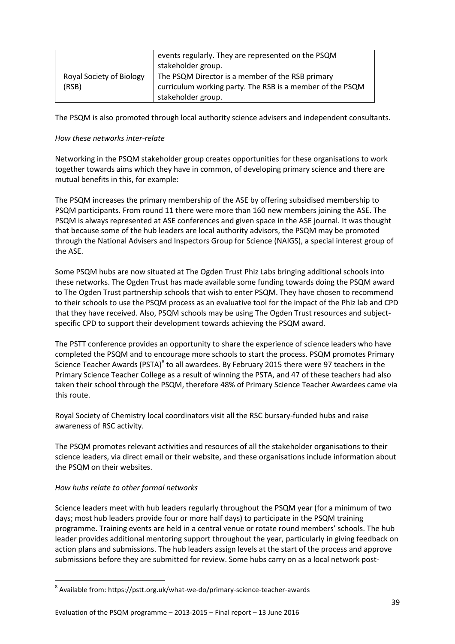|                                   | events regularly. They are represented on the PSQM<br>stakeholder group.                                                            |
|-----------------------------------|-------------------------------------------------------------------------------------------------------------------------------------|
| Royal Society of Biology<br>(RSB) | The PSQM Director is a member of the RSB primary<br>curriculum working party. The RSB is a member of the PSQM<br>stakeholder group. |

The PSQM is also promoted through local authority science advisers and independent consultants.

## *How these networks inter-relate*

Networking in the PSQM stakeholder group creates opportunities for these organisations to work together towards aims which they have in common, of developing primary science and there are mutual benefits in this, for example:

The PSQM increases the primary membership of the ASE by offering subsidised membership to PSQM participants. From round 11 there were more than 160 new members joining the ASE. The PSQM is always represented at ASE conferences and given space in the ASE journal. It was thought that because some of the hub leaders are local authority advisors, the PSQM may be promoted through the National Advisers and Inspectors Group for Science (NAIGS), a special interest group of the ASE.

Some PSQM hubs are now situated at The Ogden Trust Phiz Labs bringing additional schools into these networks. The Ogden Trust has made available some funding towards doing the PSQM award to The Ogden Trust partnership schools that wish to enter PSQM. They have chosen to recommend to their schools to use the PSQM process as an evaluative tool for the impact of the Phiz lab and CPD that they have received. Also, PSQM schools may be using The Ogden Trust resources and subjectspecific CPD to support their development towards achieving the PSQM award.

The PSTT conference provides an opportunity to share the experience of science leaders who have completed the PSQM and to encourage more schools to start the process. PSQM promotes Primary Science Teacher Awards (PSTA)<sup>8</sup> to all awardees. By February 2015 there were 97 teachers in the Primary Science Teacher College as a result of winning the PSTA, and 47 of these teachers had also taken their school through the PSQM, therefore 48% of Primary Science Teacher Awardees came via this route.

Royal Society of Chemistry local coordinators visit all the RSC bursary-funded hubs and raise awareness of RSC activity.

The PSQM promotes relevant activities and resources of all the stakeholder organisations to their science leaders, via direct email or their website, and these organisations include information about the PSQM on their websites.

# *How hubs relate to other formal networks*

**.** 

Science leaders meet with hub leaders regularly throughout the PSQM year (for a minimum of two days; most hub leaders provide four or more half days) to participate in the PSQM training programme. Training events are held in a central venue or rotate round members' schools. The hub leader provides additional mentoring support throughout the year, particularly in giving feedback on action plans and submissions. The hub leaders assign levels at the start of the process and approve submissions before they are submitted for review. Some hubs carry on as a local network post-

<sup>8</sup> Available from[: https://pstt.org.uk/what-we-do/primary-science-teacher-awards](https://pstt.org.uk/what-we-do/primary-science-teacher-awards)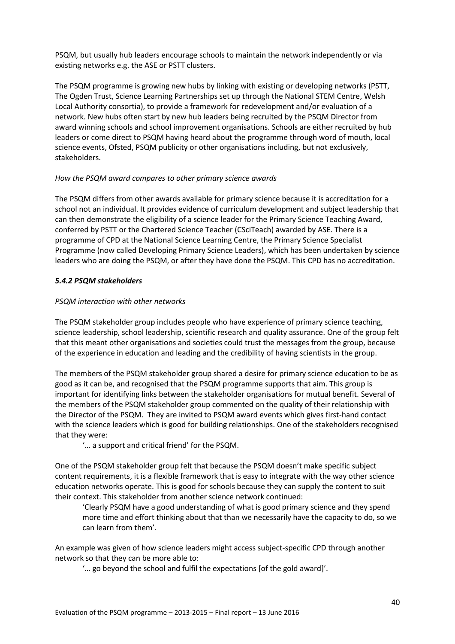PSQM, but usually hub leaders encourage schools to maintain the network independently or via existing networks e.g. the ASE or PSTT clusters.

The PSQM programme is growing new hubs by linking with existing or developing networks (PSTT, The Ogden Trust, Science Learning Partnerships set up through the National STEM Centre, Welsh Local Authority consortia), to provide a framework for redevelopment and/or evaluation of a network. New hubs often start by new hub leaders being recruited by the PSQM Director from award winning schools and school improvement organisations. Schools are either recruited by hub leaders or come direct to PSQM having heard about the programme through word of mouth, local science events, Ofsted, PSQM publicity or other organisations including, but not exclusively, stakeholders.

## *How the PSQM award compares to other primary science awards*

The PSQM differs from other awards available for primary science because it is accreditation for a school not an individual. It provides evidence of curriculum development and subject leadership that can then demonstrate the eligibility of a science leader for the Primary Science Teaching Award, conferred by PSTT or the Chartered Science Teacher (CSciTeach) awarded by ASE. There is a programme of CPD at the National Science Learning Centre, the Primary Science Specialist Programme (now called Developing Primary Science Leaders), which has been undertaken by science leaders who are doing the PSQM, or after they have done the PSQM. This CPD has no accreditation.

# *5.4.2 PSQM stakeholders*

# *PSQM interaction with other networks*

The PSQM stakeholder group includes people who have experience of primary science teaching, science leadership, school leadership, scientific research and quality assurance. One of the group felt that this meant other organisations and societies could trust the messages from the group, because of the experience in education and leading and the credibility of having scientists in the group.

The members of the PSQM stakeholder group shared a desire for primary science education to be as good as it can be, and recognised that the PSQM programme supports that aim. This group is important for identifying links between the stakeholder organisations for mutual benefit. Several of the members of the PSQM stakeholder group commented on the quality of their relationship with the Director of the PSQM.They are invited to PSQM award events which gives first-hand contact with the science leaders which is good for building relationships. One of the stakeholders recognised that they were:

'… a support and critical friend' for the PSQM.

One of the PSQM stakeholder group felt that because the PSQM doesn't make specific subject content requirements, it is a flexible framework that is easy to integrate with the way other science education networks operate. This is good for schools because they can supply the content to suit their context. This stakeholder from another science network continued:

'Clearly PSQM have a good understanding of what is good primary science and they spend more time and effort thinking about that than we necessarily have the capacity to do, so we can learn from them'.

An example was given of how science leaders might access subject-specific CPD through another network so that they can be more able to:

'… go beyond the school and fulfil the expectations [of the gold award]'.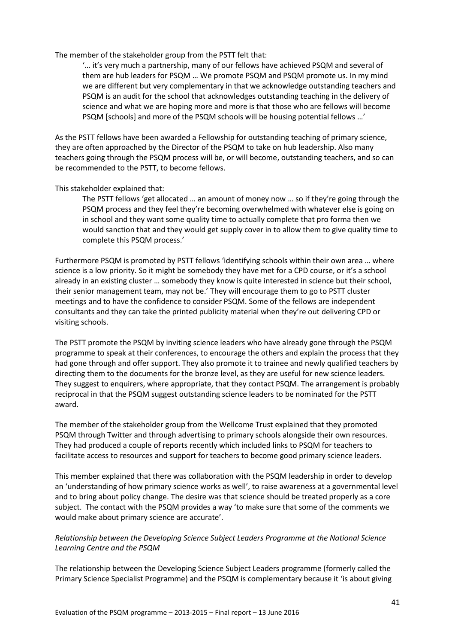The member of the stakeholder group from the PSTT felt that:

'… it's very much a partnership, many of our fellows have achieved PSQM and several of them are hub leaders for PSQM … We promote PSQM and PSQM promote us. In my mind we are different but very complementary in that we acknowledge outstanding teachers and PSQM is an audit for the school that acknowledges outstanding teaching in the delivery of science and what we are hoping more and more is that those who are fellows will become PSQM [schools] and more of the PSQM schools will be housing potential fellows …'

As the PSTT fellows have been awarded a Fellowship for outstanding teaching of primary science, they are often approached by the Director of the PSQM to take on hub leadership. Also many teachers going through the PSQM process will be, or will become, outstanding teachers, and so can be recommended to the PSTT, to become fellows.

# This stakeholder explained that:

The PSTT fellows 'get allocated … an amount of money now … so if they're going through the PSQM process and they feel they're becoming overwhelmed with whatever else is going on in school and they want some quality time to actually complete that pro forma then we would sanction that and they would get supply cover in to allow them to give quality time to complete this PSQM process.'

Furthermore PSQM is promoted by PSTT fellows 'identifying schools within their own area … where science is a low priority. So it might be somebody they have met for a CPD course, or it's a school already in an existing cluster … somebody they know is quite interested in science but their school, their senior management team, may not be.' They will encourage them to go to PSTT cluster meetings and to have the confidence to consider PSQM. Some of the fellows are independent consultants and they can take the printed publicity material when they're out delivering CPD or visiting schools.

The PSTT promote the PSQM by inviting science leaders who have already gone through the PSQM programme to speak at their conferences, to encourage the others and explain the process that they had gone through and offer support. They also promote it to trainee and newly qualified teachers by directing them to the documents for the bronze level, as they are useful for new science leaders. They suggest to enquirers, where appropriate, that they contact PSQM. The arrangement is probably reciprocal in that the PSQM suggest outstanding science leaders to be nominated for the PSTT award.

The member of the stakeholder group from the Wellcome Trust explained that they promoted PSQM through Twitter and through advertising to primary schools alongside their own resources. They had produced a couple of reports recently which included links to PSQM for teachers to facilitate access to resources and support for teachers to become good primary science leaders.

This member explained that there was collaboration with the PSQM leadership in order to develop an 'understanding of how primary science works as well', to raise awareness at a governmental level and to bring about policy change. The desire was that science should be treated properly as a core subject. The contact with the PSQM provides a way 'to make sure that some of the comments we would make about primary science are accurate'.

# *Relationship between the Developing Science Subject Leaders Programme at the National Science Learning Centre and the PSQM*

The relationship between the Developing Science Subject Leaders programme (formerly called the Primary Science Specialist Programme) and the PSQM is complementary because it 'is about giving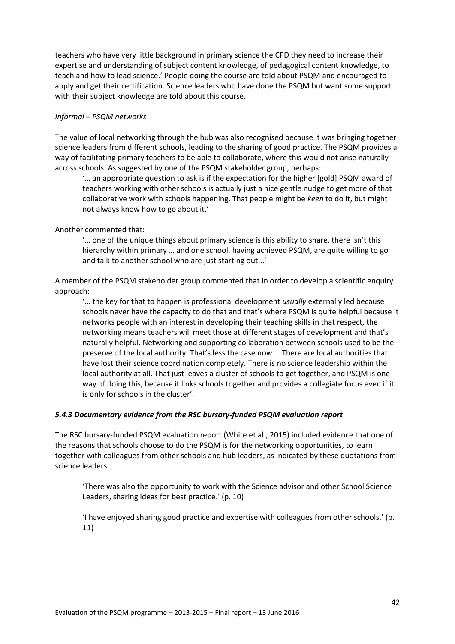teachers who have very little background in primary science the CPD they need to increase their expertise and understanding of subject content knowledge, of pedagogical content knowledge, to teach and how to lead science.' People doing the course are told about PSQM and encouraged to apply and get their certification. Science leaders who have done the PSQM but want some support with their subject knowledge are told about this course.

# *Informal – PSQM networks*

The value of local networking through the hub was also recognised because it was bringing together science leaders from different schools, leading to the sharing of good practice. The PSQM provides a way of facilitating primary teachers to be able to collaborate, where this would not arise naturally across schools. As suggested by one of the PSQM stakeholder group, perhaps:

'… an appropriate question to ask is if the expectation for the higher [gold] PSQM award of teachers working with other schools is actually just a nice gentle nudge to get more of that collaborative work with schools happening. That people might be *keen* to do it, but might not always know how to go about it.'

# Another commented that:

'… one of the unique things about primary science is this ability to share, there isn't this hierarchy within primary … and one school, having achieved PSQM, are quite willing to go and talk to another school who are just starting out...'

A member of the PSQM stakeholder group commented that in order to develop a scientific enquiry approach:

'… the key for that to happen is professional development *usually* externally led because schools never have the capacity to do that and that's where PSQM is quite helpful because it networks people with an interest in developing their teaching skills in that respect, the networking means teachers will meet those at different stages of development and that's naturally helpful. Networking and supporting collaboration between schools used to be the preserve of the local authority. That's less the case now … There are local authorities that have lost their science coordination completely. There is no science leadership within the local authority at all. That just leaves a cluster of schools to get together, and PSQM is one way of doing this, because it links schools together and provides a collegiate focus even if it is only for schools in the cluster'.

## *5.4.3 Documentary evidence from the RSC bursary-funded PSQM evaluation report*

The RSC bursary-funded PSQM evaluation report (White et al., 2015) included evidence that one of the reasons that schools choose to do the PSQM is for the networking opportunities, to learn together with colleagues from other schools and hub leaders, as indicated by these quotations from science leaders:

'There was also the opportunity to work with the Science advisor and other School Science Leaders, sharing ideas for best practice.' (p. 10)

'I have enjoyed sharing good practice and expertise with colleagues from other schools.' (p. 11)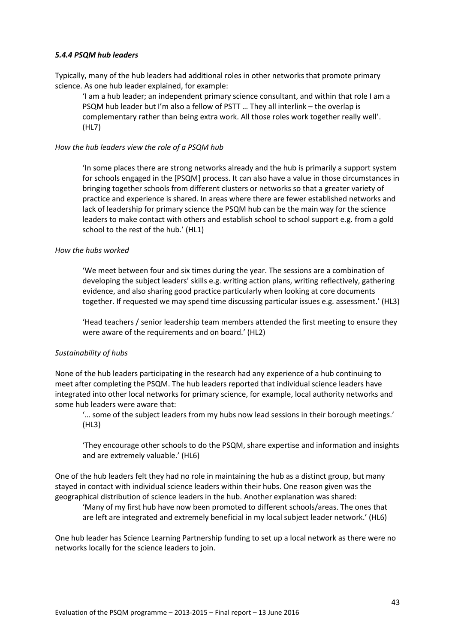#### *5.4.4 PSQM hub leaders*

Typically, many of the hub leaders had additional roles in other networks that promote primary science. As one hub leader explained, for example:

'I am a hub leader; an independent primary science consultant, and within that role I am a PSQM hub leader but I'm also a fellow of PSTT … They all interlink – the overlap is complementary rather than being extra work. All those roles work together really well'. (HL7)

#### *How the hub leaders view the role of a PSQM hub*

'In some places there are strong networks already and the hub is primarily a support system for schools engaged in the [PSQM] process. It can also have a value in those circumstances in bringing together schools from different clusters or networks so that a greater variety of practice and experience is shared. In areas where there are fewer established networks and lack of leadership for primary science the PSQM hub can be the main way for the science leaders to make contact with others and establish school to school support e.g. from a gold school to the rest of the hub.' (HL1)

#### *How the hubs worked*

'We meet between four and six times during the year. The sessions are a combination of developing the subject leaders' skills e.g. writing action plans, writing reflectively, gathering evidence, and also sharing good practice particularly when looking at core documents together. If requested we may spend time discussing particular issues e.g. assessment.' (HL3)

'Head teachers / senior leadership team members attended the first meeting to ensure they were aware of the requirements and on board.' (HL2)

## *Sustainability of hubs*

None of the hub leaders participating in the research had any experience of a hub continuing to meet after completing the PSQM. The hub leaders reported that individual science leaders have integrated into other local networks for primary science, for example, local authority networks and some hub leaders were aware that:

'… some of the subject leaders from my hubs now lead sessions in their borough meetings.' (HL3)

'They encourage other schools to do the PSQM, share expertise and information and insights and are extremely valuable.' (HL6)

One of the hub leaders felt they had no role in maintaining the hub as a distinct group, but many stayed in contact with individual science leaders within their hubs. One reason given was the geographical distribution of science leaders in the hub. Another explanation was shared:

'Many of my first hub have now been promoted to different schools/areas. The ones that are left are integrated and extremely beneficial in my local subject leader network.' (HL6)

One hub leader has Science Learning Partnership funding to set up a local network as there were no networks locally for the science leaders to join.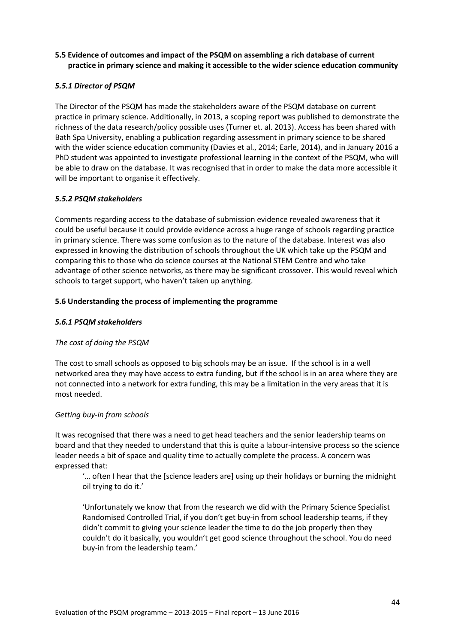# **5.5 Evidence of outcomes and impact of the PSQM on assembling a rich database of current practice in primary science and making it accessible to the wider science education community**

# *5.5.1 Director of PSQM*

The Director of the PSQM has made the stakeholders aware of the PSQM database on current practice in primary science. Additionally, in 2013, a scoping report was published to demonstrate the richness of the data research/policy possible uses (Turner et. al. 2013). Access has been shared with Bath Spa University, enabling a publication regarding assessment in primary science to be shared with the wider science education community (Davies et al., 2014; [Earle, 2014\)](http://www.tandfonline.com/doi/full/10.1080/02635143.2014.913129#.VRAXg46sX_F), and in January 2016 a PhD student was appointed to investigate professional learning in the context of the PSQM, who will be able to draw on the database. It was recognised that in order to make the data more accessible it will be important to organise it effectively.

# *5.5.2 PSQM stakeholders*

Comments regarding access to the database of submission evidence revealed awareness that it could be useful because it could provide evidence across a huge range of schools regarding practice in primary science. There was some confusion as to the nature of the database. Interest was also expressed in knowing the distribution of schools throughout the UK which take up the PSQM and comparing this to those who do science courses at the National STEM Centre and who take advantage of other science networks, as there may be significant crossover. This would reveal which schools to target support, who haven't taken up anything.

# **5.6 Understanding the process of implementing the programme**

# *5.6.1 PSQM stakeholders*

## *The cost of doing the PSQM*

The cost to small schools as opposed to big schools may be an issue. If the school is in a well networked area they may have access to extra funding, but if the school is in an area where they are not connected into a network for extra funding, this may be a limitation in the very areas that it is most needed.

## *Getting buy-in from schools*

It was recognised that there was a need to get head teachers and the senior leadership teams on board and that they needed to understand that this is quite a labour-intensive process so the science leader needs a bit of space and quality time to actually complete the process. A concern was expressed that:

'… often I hear that the [science leaders are] using up their holidays or burning the midnight oil trying to do it.'

'Unfortunately we know that from the research we did with the Primary Science Specialist Randomised Controlled Trial, if you don't get buy-in from school leadership teams, if they didn't commit to giving your science leader the time to do the job properly then they couldn't do it basically, you wouldn't get good science throughout the school. You do need buy-in from the leadership team.'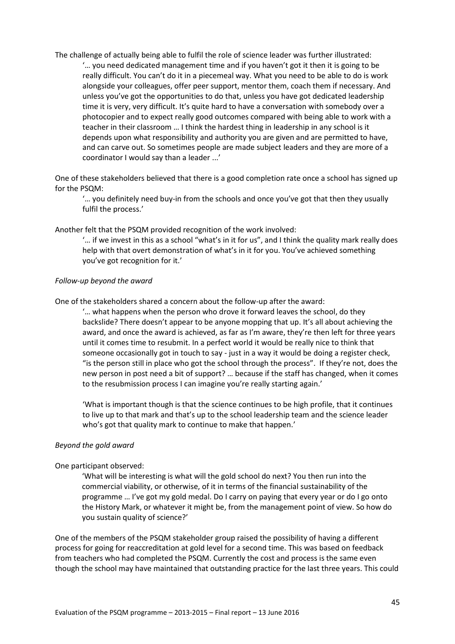The challenge of actually being able to fulfil the role of science leader was further illustrated: '… you need dedicated management time and if you haven't got it then it is going to be really difficult. You can't do it in a piecemeal way. What you need to be able to do is work alongside your colleagues, offer peer support, mentor them, coach them if necessary. And unless you've got the opportunities to do that, unless you have got dedicated leadership time it is very, very difficult. It's quite hard to have a conversation with somebody over a photocopier and to expect really good outcomes compared with being able to work with a teacher in their classroom … I think the hardest thing in leadership in any school is it depends upon what responsibility and authority you are given and are permitted to have, and can carve out. So sometimes people are made subject leaders and they are more of a coordinator I would say than a leader ...'

One of these stakeholders believed that there is a good completion rate once a school has signed up for the PSQM:

'… you definitely need buy-in from the schools and once you've got that then they usually fulfil the process.'

Another felt that the PSQM provided recognition of the work involved:

'… if we invest in this as a school "what's in it for us", and I think the quality mark really does help with that overt demonstration of what's in it for you. You've achieved something you've got recognition for it.'

#### *Follow-up beyond the award*

One of the stakeholders shared a concern about the follow-up after the award:

'… what happens when the person who drove it forward leaves the school, do they backslide? There doesn't appear to be anyone mopping that up. It's all about achieving the award, and once the award is achieved, as far as I'm aware, they're then left for three years until it comes time to resubmit. In a perfect world it would be really nice to think that someone occasionally got in touch to say - just in a way it would be doing a register check, "is the person still in place who got the school through the process". If they're not, does the new person in post need a bit of support? … because if the staff has changed, when it comes to the resubmission process I can imagine you're really starting again.'

'What is important though is that the science continues to be high profile, that it continues to live up to that mark and that's up to the school leadership team and the science leader who's got that quality mark to continue to make that happen.'

#### *Beyond the gold award*

#### One participant observed:

'What will be interesting is what will the gold school do next? You then run into the commercial viability, or otherwise, of it in terms of the financial sustainability of the programme … I've got my gold medal. Do I carry on paying that every year or do I go onto the History Mark, or whatever it might be, from the management point of view. So how do you sustain quality of science?'

One of the members of the PSQM stakeholder group raised the possibility of having a different process for going for reaccreditation at gold level for a second time. This was based on feedback from teachers who had completed the PSQM. Currently the cost and process is the same even though the school may have maintained that outstanding practice for the last three years. This could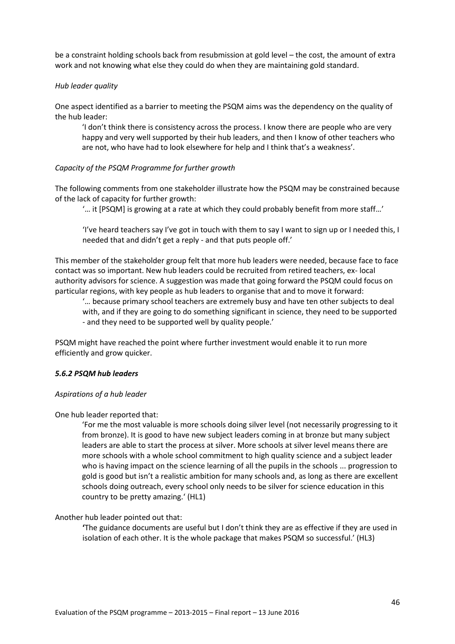be a constraint holding schools back from resubmission at gold level – the cost, the amount of extra work and not knowing what else they could do when they are maintaining gold standard.

#### *Hub leader quality*

One aspect identified as a barrier to meeting the PSQM aims was the dependency on the quality of the hub leader:

'I don't think there is consistency across the process. I know there are people who are very happy and very well supported by their hub leaders, and then I know of other teachers who are not, who have had to look elsewhere for help and I think that's a weakness'.

## *Capacity of the PSQM Programme for further growth*

The following comments from one stakeholder illustrate how the PSQM may be constrained because of the lack of capacity for further growth:

'… it [PSQM] is growing at a rate at which they could probably benefit from more staff…'

'I've heard teachers say I've got in touch with them to say I want to sign up or I needed this, I needed that and didn't get a reply - and that puts people off.'

This member of the stakeholder group felt that more hub leaders were needed, because face to face contact was so important. New hub leaders could be recruited from retired teachers, ex- local authority advisors for science. A suggestion was made that going forward the PSQM could focus on particular regions, with key people as hub leaders to organise that and to move it forward:

'… because primary school teachers are extremely busy and have ten other subjects to deal with, and if they are going to do something significant in science, they need to be supported - and they need to be supported well by quality people.'

PSQM might have reached the point where further investment would enable it to run more efficiently and grow quicker.

## *5.6.2 PSQM hub leaders*

#### *Aspirations of a hub leader*

One hub leader reported that:

'For me the most valuable is more schools doing silver level (not necessarily progressing to it from bronze). It is good to have new subject leaders coming in at bronze but many subject leaders are able to start the process at silver. More schools at silver level means there are more schools with a whole school commitment to high quality science and a subject leader who is having impact on the science learning of all the pupils in the schools ... progression to gold is good but isn't a realistic ambition for many schools and, as long as there are excellent schools doing outreach, every school only needs to be silver for science education in this country to be pretty amazing.' (HL1)

## Another hub leader pointed out that:

**'**The guidance documents are useful but I don't think they are as effective if they are used in isolation of each other. It is the whole package that makes PSQM so successful.' (HL3)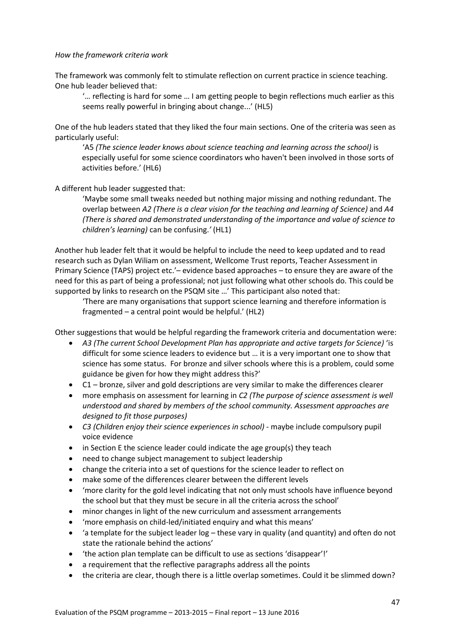## *How the framework criteria work*

The framework was commonly felt to stimulate reflection on current practice in science teaching. One hub leader believed that:

'… reflecting is hard for some … I am getting people to begin reflections much earlier as this seems really powerful in bringing about change...' (HL5)

One of the hub leaders stated that they liked the four main sections. One of the criteria was seen as particularly useful:

'A5 *(The science leader knows about science teaching and learning across the school)* is especially useful for some science coordinators who haven't been involved in those sorts of activities before.' (HL6)

A different hub leader suggested that:

'Maybe some small tweaks needed but nothing major missing and nothing redundant. The overlap between *A2 (There is a clear vision for the teaching and learning of Science)* and *A4 (There is shared and demonstrated understanding of the importance and value of science to children's learning)* can be confusing.*'* (HL1)

Another hub leader felt that it would be helpful to include the need to keep updated and to read research such as Dylan Wiliam on assessment, Wellcome Trust reports, Teacher Assessment in Primary Science (TAPS) project etc.'– evidence based approaches – to ensure they are aware of the need for this as part of being a professional; not just following what other schools do. This could be supported by links to research on the PSQM site …' This participant also noted that:

'There are many organisations that support science learning and therefore information is fragmented – a central point would be helpful.' (HL2)

Other suggestions that would be helpful regarding the framework criteria and documentation were:

- *A3 (The current School Development Plan has appropriate and active targets for Science)* 'is difficult for some science leaders to evidence but … it is a very important one to show that science has some status. For bronze and silver schools where this is a problem, could some guidance be given for how they might address this?'
- C1 bronze, silver and gold descriptions are very similar to make the differences clearer
- more emphasis on assessment for learning in *C2 (The purpose of science assessment is well understood and shared by members of the school community. Assessment approaches are designed to fit those purposes)*
- *C3 (Children enjoy their science experiences in school)* maybe include compulsory pupil voice evidence
- in Section E the science leader could indicate the age group(s) they teach
- need to change subject management to subject leadership
- change the criteria into a set of questions for the science leader to reflect on
- make some of the differences clearer between the different levels
- 'more clarity for the gold level indicating that not only must schools have influence beyond the school but that they must be secure in all the criteria across the school'
- minor changes in light of the new curriculum and assessment arrangements
- 'more emphasis on child-led/initiated enquiry and what this means'
- $\bullet$  'a template for the subject leader log these vary in quality (and quantity) and often do not state the rationale behind the actions'
- 'the action plan template can be difficult to use as sections 'disappear'!'
- a requirement that the reflective paragraphs address all the points
- the criteria are clear, though there is a little overlap sometimes. Could it be slimmed down?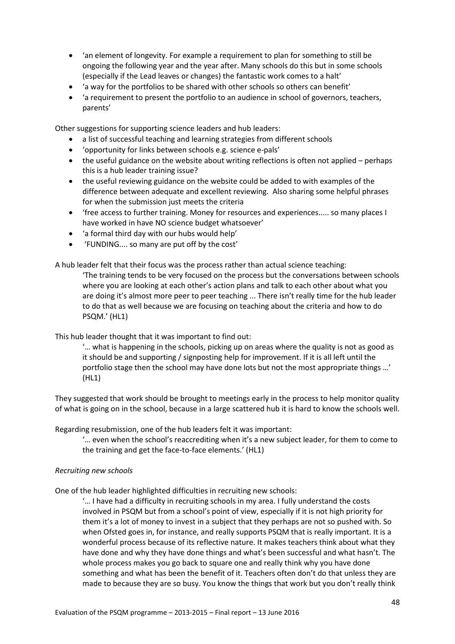- 'an element of longevity. For example a requirement to plan for something to still be ongoing the following year and the year after. Many schools do this but in some schools (especially if the Lead leaves or changes) the fantastic work comes to a halt'
- 'a way for the portfolios to be shared with other schools so others can benefit'
- 'a requirement to present the portfolio to an audience in school of governors, teachers, parents'

Other suggestions for supporting science leaders and hub leaders:

- a list of successful teaching and learning strategies from different schools
- 'opportunity for links between schools e.g. science e-pals'
- the useful guidance on the website about writing reflections is often not applied perhaps this is a hub leader training issue?
- the useful reviewing guidance on the website could be added to with examples of the difference between adequate and excellent reviewing. Also sharing some helpful phrases for when the submission just meets the criteria
- 'free access to further training. Money for resources and experiences..... so many places I have worked in have NO science budget whatsoever'
- 'a formal third day with our hubs would help'
- 'FUNDING.... so many are put off by the cost'

A hub leader felt that their focus was the process rather than actual science teaching:

'The training tends to be very focused on the process but the conversations between schools where you are looking at each other's action plans and talk to each other about what you are doing it's almost more peer to peer teaching ... There isn't really time for the hub leader to do that as well because we are focusing on teaching about the criteria and how to do PSQM.' (HL1)

This hub leader thought that it was important to find out:

'… what is happening in the schools, picking up on areas where the quality is not as good as it should be and supporting / signposting help for improvement. If it is all left until the portfolio stage then the school may have done lots but not the most appropriate things …' (HL1)

They suggested that work should be brought to meetings early in the process to help monitor quality of what is going on in the school, because in a large scattered hub it is hard to know the schools well.

Regarding resubmission, one of the hub leaders felt it was important:

'… even when the school's reaccrediting when it's a new subject leader, for them to come to the training and get the face-to-face elements.' (HL1)

#### *Recruiting new schools*

One of the hub leader highlighted difficulties in recruiting new schools:

'… I have had a difficulty in recruiting schools in my area. I fully understand the costs involved in PSQM but from a school's point of view, especially if it is not high priority for them it's a lot of money to invest in a subject that they perhaps are not so pushed with. So when Ofsted goes in, for instance, and really supports PSQM that is really important. It is a wonderful process because of its reflective nature. It makes teachers think about what they have done and why they have done things and what's been successful and what hasn't. The whole process makes you go back to square one and really think why you have done something and what has been the benefit of it. Teachers often don't do that unless they are made to because they are so busy. You know the things that work but you don't really think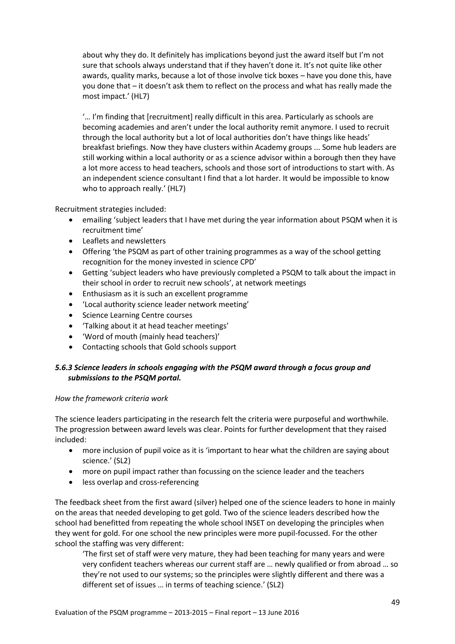about why they do. It definitely has implications beyond just the award itself but I'm not sure that schools always understand that if they haven't done it. It's not quite like other awards, quality marks, because a lot of those involve tick boxes – have you done this, have you done that – it doesn't ask them to reflect on the process and what has really made the most impact.' (HL7)

'… I'm finding that [recruitment] really difficult in this area. Particularly as schools are becoming academies and aren't under the local authority remit anymore. I used to recruit through the local authority but a lot of local authorities don't have things like heads' breakfast briefings. Now they have clusters within Academy groups ... Some hub leaders are still working within a local authority or as a science advisor within a borough then they have a lot more access to head teachers, schools and those sort of introductions to start with. As an independent science consultant I find that a lot harder. It would be impossible to know who to approach really.' (HL7)

Recruitment strategies included:

- emailing 'subject leaders that I have met during the year information about PSQM when it is recruitment time'
- Leaflets and newsletters
- Offering 'the PSQM as part of other training programmes as a way of the school getting recognition for the money invested in science CPD'
- Getting 'subject leaders who have previously completed a PSQM to talk about the impact in their school in order to recruit new schools', at network meetings
- Enthusiasm as it is such an excellent programme
- 'Local authority science leader network meeting'
- Science Learning Centre courses
- 'Talking about it at head teacher meetings'
- 'Word of mouth (mainly head teachers)'
- Contacting schools that Gold schools support

# *5.6.3 Science leaders in schools engaging with the PSQM award through a focus group and submissions to the PSQM portal.*

# *How the framework criteria work*

The science leaders participating in the research felt the criteria were purposeful and worthwhile. The progression between award levels was clear. Points for further development that they raised included:

- more inclusion of pupil voice as it is 'important to hear what the children are saying about science.' (SL2)
- more on pupil impact rather than focussing on the science leader and the teachers
- less overlap and cross-referencing

The feedback sheet from the first award (silver) helped one of the science leaders to hone in mainly on the areas that needed developing to get gold. Two of the science leaders described how the school had benefitted from repeating the whole school INSET on developing the principles when they went for gold. For one school the new principles were more pupil-focussed. For the other school the staffing was very different:

'The first set of staff were very mature, they had been teaching for many years and were very confident teachers whereas our current staff are … newly qualified or from abroad … so they're not used to our systems; so the principles were slightly different and there was a different set of issues … in terms of teaching science.' (SL2)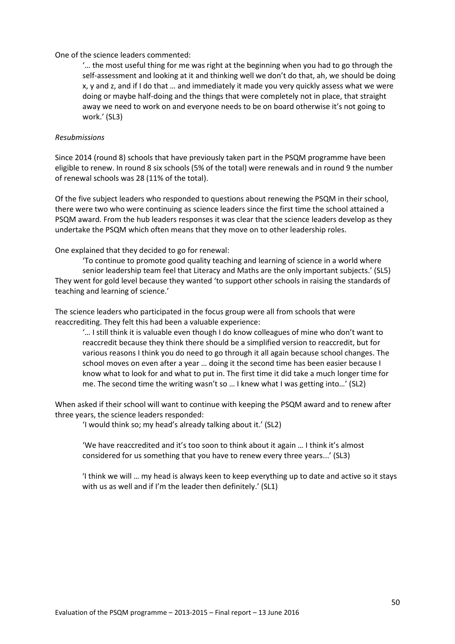#### One of the science leaders commented:

'… the most useful thing for me was right at the beginning when you had to go through the self-assessment and looking at it and thinking well we don't do that, ah, we should be doing x, y and z, and if I do that … and immediately it made you very quickly assess what we were doing or maybe half-doing and the things that were completely not in place, that straight away we need to work on and everyone needs to be on board otherwise it's not going to work.' (SL3)

#### *Resubmissions*

Since 2014 (round 8) schools that have previously taken part in the PSQM programme have been eligible to renew. In round 8 six schools (5% of the total) were renewals and in round 9 the number of renewal schools was 28 (11% of the total).

Of the five subject leaders who responded to questions about renewing the PSQM in their school, there were two who were continuing as science leaders since the first time the school attained a PSQM award. From the hub leaders responses it was clear that the science leaders develop as they undertake the PSQM which often means that they move on to other leadership roles.

One explained that they decided to go for renewal:

'To continue to promote good quality teaching and learning of science in a world where senior leadership team feel that Literacy and Maths are the only important subjects.' (SL5) They went for gold level because they wanted 'to support other schools in raising the standards of teaching and learning of science.'

The science leaders who participated in the focus group were all from schools that were reaccrediting. They felt this had been a valuable experience:

'… I still think it is valuable even though I do know colleagues of mine who don't want to reaccredit because they think there should be a simplified version to reaccredit, but for various reasons I think you do need to go through it all again because school changes. The school moves on even after a year … doing it the second time has been easier because I know what to look for and what to put in. The first time it did take a much longer time for me. The second time the writing wasn't so … I knew what I was getting into…' (SL2)

When asked if their school will want to continue with keeping the PSQM award and to renew after three years, the science leaders responded:

'I would think so; my head's already talking about it.' (SL2)

'We have reaccredited and it's too soon to think about it again … I think it's almost considered for us something that you have to renew every three years...' (SL3)

'I think we will … my head is always keen to keep everything up to date and active so it stays with us as well and if I'm the leader then definitely.' (SL1)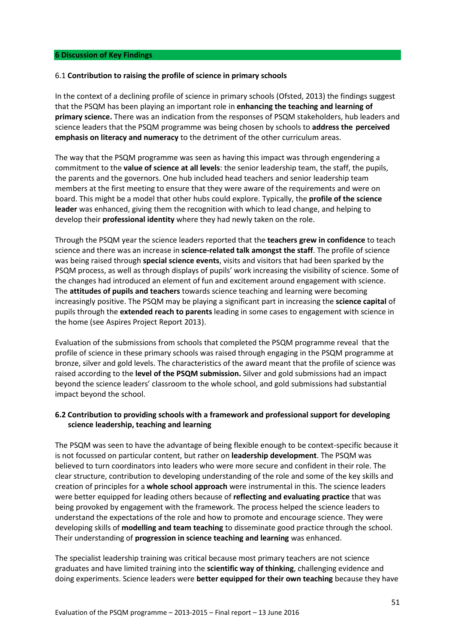#### **6 Discussion of Key Findings**

#### 6.1 **Contribution to raising the profile of science in primary schools**

In the context of a declining profile of science in primary schools (Ofsted, 2013) the findings suggest that the PSQM has been playing an important role in **enhancing the teaching and learning of primary science.** There was an indication from the responses of PSQM stakeholders, hub leaders and science leaders that the PSQM programme was being chosen by schools to **address the perceived emphasis on literacy and numeracy** to the detriment of the other curriculum areas.

The way that the PSQM programme was seen as having this impact was through engendering a commitment to the **value of science at all levels**: the senior leadership team, the staff, the pupils, the parents and the governors. One hub included head teachers and senior leadership team members at the first meeting to ensure that they were aware of the requirements and were on board. This might be a model that other hubs could explore. Typically, the **profile of the science leader** was enhanced, giving them the recognition with which to lead change, and helping to develop their **professional identity** where they had newly taken on the role.

Through the PSQM year the science leaders reported that the **teachers grew in confidence** to teach science and there was an increase in **science-related talk amongst the staff**. The profile of science was being raised through **special science events**, visits and visitors that had been sparked by the PSQM process, as well as through displays of pupils' work increasing the visibility of science. Some of the changes had introduced an element of fun and excitement around engagement with science. The **attitudes of pupils and teachers** towards science teaching and learning were becoming increasingly positive. The PSQM may be playing a significant part in increasing the **science capital** of pupils through the **extended reach to parents** leading in some cases to engagement with science in the home (see Aspires Project Report 2013).

Evaluation of the submissions from schools that completed the PSQM programme reveal that the profile of science in these primary schools was raised through engaging in the PSQM programme at bronze, silver and gold levels. The characteristics of the award meant that the profile of science was raised according to the **level of the PSQM submission.** Silver and gold submissions had an impact beyond the science leaders' classroom to the whole school, and gold submissions had substantial impact beyond the school.

# **6.2 Contribution to providing schools with a framework and professional support for developing science leadership, teaching and learning**

The PSQM was seen to have the advantage of being flexible enough to be context-specific because it is not focussed on particular content, but rather on **leadership development**. The PSQM was believed to turn coordinators into leaders who were more secure and confident in their role. The clear structure, contribution to developing understanding of the role and some of the key skills and creation of principles for a **whole school approach** were instrumental in this. The science leaders were better equipped for leading others because of **reflecting and evaluating practice** that was being provoked by engagement with the framework. The process helped the science leaders to understand the expectations of the role and how to promote and encourage science. They were developing skills of **modelling and team teaching** to disseminate good practice through the school. Their understanding of **progression in science teaching and learning** was enhanced.

The specialist leadership training was critical because most primary teachers are not science graduates and have limited training into the **scientific way of thinking**, challenging evidence and doing experiments. Science leaders were **better equipped for their own teaching** because they have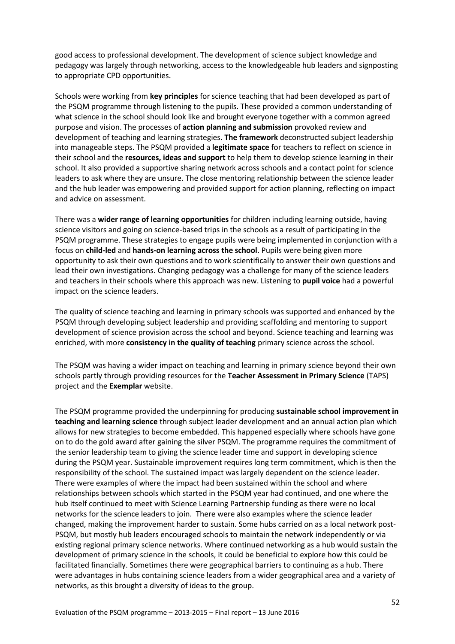good access to professional development. The development of science subject knowledge and pedagogy was largely through networking, access to the knowledgeable hub leaders and signposting to appropriate CPD opportunities.

Schools were working from **key principles** for science teaching that had been developed as part of the PSQM programme through listening to the pupils. These provided a common understanding of what science in the school should look like and brought everyone together with a common agreed purpose and vision. The processes of **action planning and submission** provoked review and development of teaching and learning strategies. **The framework** deconstructed subject leadership into manageable steps. The PSQM provided a **legitimate space** for teachers to reflect on science in their school and the **resources, ideas and support** to help them to develop science learning in their school. It also provided a supportive sharing network across schools and a contact point for science leaders to ask where they are unsure. The close mentoring relationship between the science leader and the hub leader was empowering and provided support for action planning, reflecting on impact and advice on assessment.

There was a **wider range of learning opportunities** for children including learning outside, having science visitors and going on science-based trips in the schools as a result of participating in the PSQM programme. These strategies to engage pupils were being implemented in conjunction with a focus on **child-led** and **hands-on learning across the school**. Pupils were being given more opportunity to ask their own questions and to work scientifically to answer their own questions and lead their own investigations. Changing pedagogy was a challenge for many of the science leaders and teachers in their schools where this approach was new. Listening to **pupil voice** had a powerful impact on the science leaders.

The quality of science teaching and learning in primary schools was supported and enhanced by the PSQM through developing subject leadership and providing scaffolding and mentoring to support development of science provision across the school and beyond. Science teaching and learning was enriched, with more **consistency in the quality of teaching** primary science across the school.

The PSQM was having a wider impact on teaching and learning in primary science beyond their own schools partly through providing resources for the **Teacher Assessment in Primary Science** (TAPS) project and the **Exemplar** website.

The PSQM programme provided the underpinning for producing **sustainable school improvement in teaching and learning science** through subject leader development and an annual action plan which allows for new strategies to become embedded. This happened especially where schools have gone on to do the gold award after gaining the silver PSQM. The programme requires the commitment of the senior leadership team to giving the science leader time and support in developing science during the PSQM year. Sustainable improvement requires long term commitment, which is then the responsibility of the school. The sustained impact was largely dependent on the science leader. There were examples of where the impact had been sustained within the school and where relationships between schools which started in the PSQM year had continued, and one where the hub itself continued to meet with Science Learning Partnership funding as there were no local networks for the science leaders to join. There were also examples where the science leader changed, making the improvement harder to sustain. Some hubs carried on as a local network post-PSQM, but mostly hub leaders encouraged schools to maintain the network independently or via existing regional primary science networks. Where continued networking as a hub would sustain the development of primary science in the schools, it could be beneficial to explore how this could be facilitated financially. Sometimes there were geographical barriers to continuing as a hub. There were advantages in hubs containing science leaders from a wider geographical area and a variety of networks, as this brought a diversity of ideas to the group.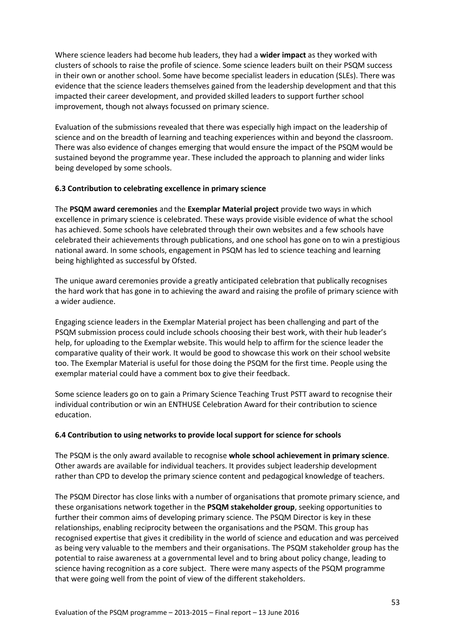Where science leaders had become hub leaders, they had a **wider impact** as they worked with clusters of schools to raise the profile of science. Some science leaders built on their PSQM success in their own or another school. Some have become specialist leaders in education (SLEs). There was evidence that the science leaders themselves gained from the leadership development and that this impacted their career development, and provided skilled leaders to support further school improvement, though not always focussed on primary science.

Evaluation of the submissions revealed that there was especially high impact on the leadership of science and on the breadth of learning and teaching experiences within and beyond the classroom. There was also evidence of changes emerging that would ensure the impact of the PSQM would be sustained beyond the programme year. These included the approach to planning and wider links being developed by some schools.

# **6.3 Contribution to celebrating excellence in primary science**

The **PSQM award ceremonies** and the **Exemplar Material project** provide two ways in which excellence in primary science is celebrated. These ways provide visible evidence of what the school has achieved. Some schools have celebrated through their own websites and a few schools have celebrated their achievements through publications, and one school has gone on to win a prestigious national award. In some schools, engagement in PSQM has led to science teaching and learning being highlighted as successful by Ofsted.

The unique award ceremonies provide a greatly anticipated celebration that publically recognises the hard work that has gone in to achieving the award and raising the profile of primary science with a wider audience.

Engaging science leaders in the Exemplar Material project has been challenging and part of the PSQM submission process could include schools choosing their best work, with their hub leader's help, for uploading to the Exemplar website. This would help to affirm for the science leader the comparative quality of their work. It would be good to showcase this work on their school website too. The Exemplar Material is useful for those doing the PSQM for the first time. People using the exemplar material could have a comment box to give their feedback.

Some science leaders go on to gain a Primary Science Teaching Trust PSTT award to recognise their individual contribution or win an ENTHUSE Celebration Award for their contribution to science education.

# **6.4 Contribution to using networks to provide local support for science for schools**

The PSQM is the only award available to recognise **whole school achievement in primary science**. Other awards are available for individual teachers. It provides subject leadership development rather than CPD to develop the primary science content and pedagogical knowledge of teachers.

The PSQM Director has close links with a number of organisations that promote primary science, and these organisations network together in the **PSQM stakeholder group**, seeking opportunities to further their common aims of developing primary science. The PSQM Director is key in these relationships, enabling reciprocity between the organisations and the PSQM. This group has recognised expertise that gives it credibility in the world of science and education and was perceived as being very valuable to the members and their organisations. The PSQM stakeholder group has the potential to raise awareness at a governmental level and to bring about policy change, leading to science having recognition as a core subject. There were many aspects of the PSQM programme that were going well from the point of view of the different stakeholders.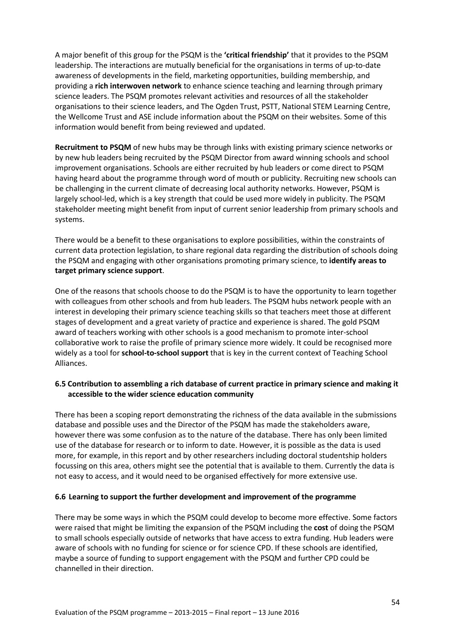A major benefit of this group for the PSQM is the **'critical friendship'** that it provides to the PSQM leadership. The interactions are mutually beneficial for the organisations in terms of up-to-date awareness of developments in the field, marketing opportunities, building membership, and providing a **rich interwoven network** to enhance science teaching and learning through primary science leaders. The PSQM promotes relevant activities and resources of all the stakeholder organisations to their science leaders, and The Ogden Trust, PSTT, National STEM Learning Centre, the Wellcome Trust and ASE include information about the PSQM on their websites. Some of this information would benefit from being reviewed and updated.

**Recruitment to PSQM** of new hubs may be through links with existing primary science networks or by new hub leaders being recruited by the PSQM Director from award winning schools and school improvement organisations. Schools are either recruited by hub leaders or come direct to PSQM having heard about the programme through word of mouth or publicity. Recruiting new schools can be challenging in the current climate of decreasing local authority networks. However, PSQM is largely school-led, which is a key strength that could be used more widely in publicity. The PSQM stakeholder meeting might benefit from input of current senior leadership from primary schools and systems.

There would be a benefit to these organisations to explore possibilities, within the constraints of current data protection legislation, to share regional data regarding the distribution of schools doing the PSQM and engaging with other organisations promoting primary science, to **identify areas to target primary science support**.

One of the reasons that schools choose to do the PSQM is to have the opportunity to learn together with colleagues from other schools and from hub leaders. The PSQM hubs network people with an interest in developing their primary science teaching skills so that teachers meet those at different stages of development and a great variety of practice and experience is shared. The gold PSQM award of teachers working with other schools is a good mechanism to promote inter-school collaborative work to raise the profile of primary science more widely. It could be recognised more widely as a tool for **school-to-school support** that is key in the current context of Teaching School Alliances.

# **6.5 Contribution to assembling a rich database of current practice in primary science and making it accessible to the wider science education community**

There has been a scoping report demonstrating the richness of the data available in the submissions database and possible uses and the Director of the PSQM has made the stakeholders aware, however there was some confusion as to the nature of the database. There has only been limited use of the database for research or to inform to date. However, it is possible as the data is used more, for example, in this report and by other researchers including doctoral studentship holders focussing on this area, others might see the potential that is available to them. Currently the data is not easy to access, and it would need to be organised effectively for more extensive use.

## **6.6 Learning to support the further development and improvement of the programme**

There may be some ways in which the PSQM could develop to become more effective. Some factors were raised that might be limiting the expansion of the PSQM including the **cost** of doing the PSQM to small schools especially outside of networks that have access to extra funding. Hub leaders were aware of schools with no funding for science or for science CPD. If these schools are identified, maybe a source of funding to support engagement with the PSQM and further CPD could be channelled in their direction.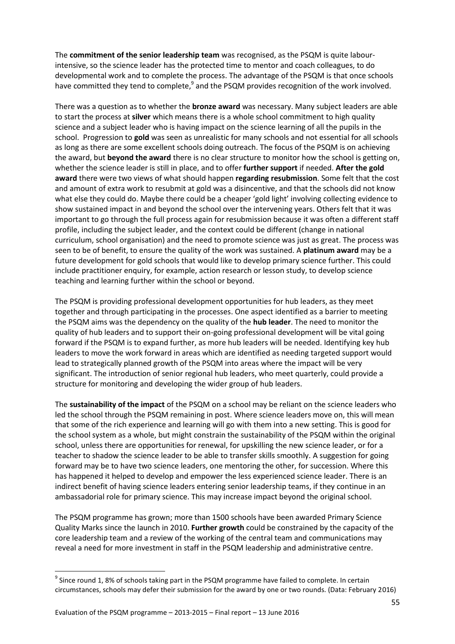The **commitment of the senior leadership team** was recognised, as the PSQM is quite labourintensive, so the science leader has the protected time to mentor and coach colleagues, to do developmental work and to complete the process. The advantage of the PSQM is that once schools have committed they tend to complete,<sup>9</sup> and the PSQM provides recognition of the work involved.

There was a question as to whether the **bronze award** was necessary. Many subject leaders are able to start the process at **silver** which means there is a whole school commitment to high quality science and a subject leader who is having impact on the science learning of all the pupils in the school. Progression to **gold** was seen as unrealistic for many schools and not essential for all schools as long as there are some excellent schools doing outreach. The focus of the PSQM is on achieving the award, but **beyond the award** there is no clear structure to monitor how the school is getting on, whether the science leader is still in place, and to offer **further support** if needed. **After the gold award** there were two views of what should happen **regarding resubmission**. Some felt that the cost and amount of extra work to resubmit at gold was a disincentive, and that the schools did not know what else they could do. Maybe there could be a cheaper 'gold light' involving collecting evidence to show sustained impact in and beyond the school over the intervening years. Others felt that it was important to go through the full process again for resubmission because it was often a different staff profile, including the subject leader, and the context could be different (change in national curriculum, school organisation) and the need to promote science was just as great. The process was seen to be of benefit, to ensure the quality of the work was sustained. A **platinum award** may be a future development for gold schools that would like to develop primary science further. This could include practitioner enquiry, for example, action research or lesson study, to develop science teaching and learning further within the school or beyond.

The PSQM is providing professional development opportunities for hub leaders, as they meet together and through participating in the processes. One aspect identified as a barrier to meeting the PSQM aims was the dependency on the quality of the **hub leader**. The need to monitor the quality of hub leaders and to support their on-going professional development will be vital going forward if the PSQM is to expand further, as more hub leaders will be needed. Identifying key hub leaders to move the work forward in areas which are identified as needing targeted support would lead to strategically planned growth of the PSQM into areas where the impact will be very significant. The introduction of senior regional hub leaders, who meet quarterly, could provide a structure for monitoring and developing the wider group of hub leaders.

The **sustainability of the impact** of the PSQM on a school may be reliant on the science leaders who led the school through the PSQM remaining in post. Where science leaders move on, this will mean that some of the rich experience and learning will go with them into a new setting. This is good for the school system as a whole, but might constrain the sustainability of the PSQM within the original school, unless there are opportunities for renewal, for upskilling the new science leader, or for a teacher to shadow the science leader to be able to transfer skills smoothly. A suggestion for going forward may be to have two science leaders, one mentoring the other, for succession. Where this has happened it helped to develop and empower the less experienced science leader. There is an indirect benefit of having science leaders entering senior leadership teams, if they continue in an ambassadorial role for primary science. This may increase impact beyond the original school.

The PSQM programme has grown; more than 1500 schools have been awarded Primary Science Quality Marks since the launch in 2010. **Further growth** could be constrained by the capacity of the core leadership team and a review of the working of the central team and communications may reveal a need for more investment in staff in the PSQM leadership and administrative centre.

1

 $^9$  Since round 1, 8% of schools taking part in the PSQM programme have failed to complete. In certain circumstances, schools may defer their submission for the award by one or two rounds. (Data: February 2016)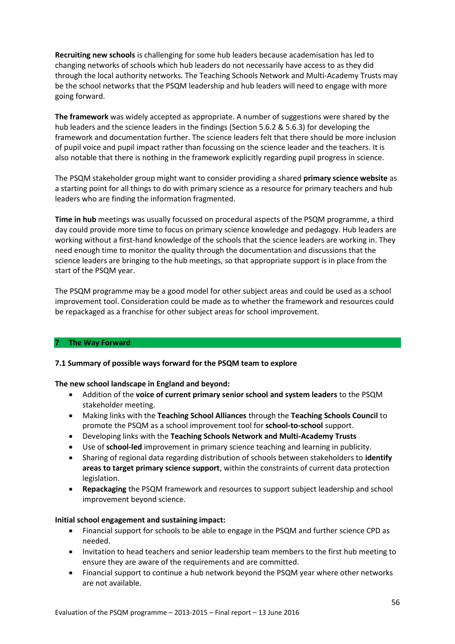**Recruiting new schools** is challenging for some hub leaders because academisation has led to changing networks of schools which hub leaders do not necessarily have access to as they did through the local authority networks. The Teaching Schools Network and Multi-Academy Trusts may be the school networks that the PSQM leadership and hub leaders will need to engage with more going forward.

**The framework** was widely accepted as appropriate. A number of suggestions were shared by the hub leaders and the science leaders in the findings (Section 5.6.2 & 5.6.3) for developing the framework and documentation further. The science leaders felt that there should be more inclusion of pupil voice and pupil impact rather than focussing on the science leader and the teachers. It is also notable that there is nothing in the framework explicitly regarding pupil progress in science.

The PSQM stakeholder group might want to consider providing a shared **primary science website** as a starting point for all things to do with primary science as a resource for primary teachers and hub leaders who are finding the information fragmented.

**Time in hub** meetings was usually focussed on procedural aspects of the PSQM programme, a third day could provide more time to focus on primary science knowledge and pedagogy. Hub leaders are working without a first-hand knowledge of the schools that the science leaders are working in. They need enough time to monitor the quality through the documentation and discussions that the science leaders are bringing to the hub meetings, so that appropriate support is in place from the start of the PSQM year.

The PSQM programme may be a good model for other subject areas and could be used as a school improvement tool. Consideration could be made as to whether the framework and resources could be repackaged as a franchise for other subject areas for school improvement.

## **7 The Way Forward**

## **7.1 Summary of possible ways forward for the PSQM team to explore**

#### **The new school landscape in England and beyond:**

- Addition of the **voice of current primary senior school and system leaders** to the PSQM stakeholder meeting.
- Making links with the **Teaching School Alliances** through the **Teaching Schools Council** to promote the PSQM as a school improvement tool for **school-to-school** support.
- Developing links with the **Teaching Schools Network and Multi-Academy Trusts**
- Use of **school-led** improvement in primary science teaching and learning in publicity.
- Sharing of regional data regarding distribution of schools between stakeholders to **identify areas to target primary science support**, within the constraints of current data protection legislation.
- **Repackaging** the PSQM framework and resources to support subject leadership and school improvement beyond science.

#### **Initial school engagement and sustaining impact:**

- Financial support for schools to be able to engage in the PSQM and further science CPD as needed.
- Invitation to head teachers and senior leadership team members to the first hub meeting to ensure they are aware of the requirements and are committed.
- Financial support to continue a hub network beyond the PSQM year where other networks are not available.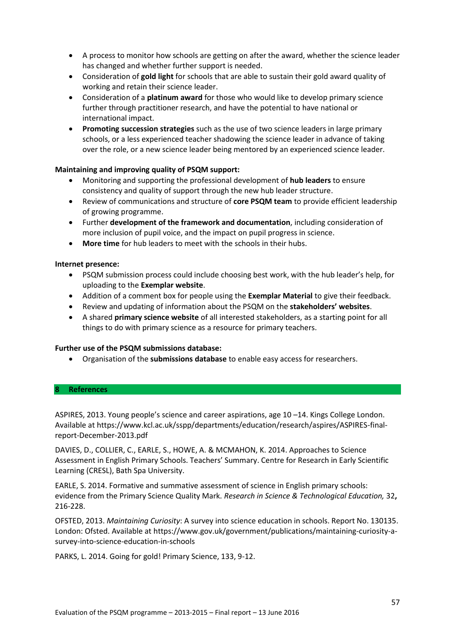- A process to monitor how schools are getting on after the award, whether the science leader has changed and whether further support is needed.
- Consideration of **gold light** for schools that are able to sustain their gold award quality of working and retain their science leader.
- Consideration of a **platinum award** for those who would like to develop primary science further through practitioner research, and have the potential to have national or international impact.
- **Promoting succession strategies** such as the use of two science leaders in large primary schools, or a less experienced teacher shadowing the science leader in advance of taking over the role, or a new science leader being mentored by an experienced science leader.

## **Maintaining and improving quality of PSQM support:**

- Monitoring and supporting the professional development of **hub leaders** to ensure consistency and quality of support through the new hub leader structure.
- Review of communications and structure of **core PSQM team** to provide efficient leadership of growing programme.
- Further **development of the framework and documentation**, including consideration of more inclusion of pupil voice, and the impact on pupil progress in science.
- **More time** for hub leaders to meet with the schools in their hubs.

## **Internet presence:**

- PSQM submission process could include choosing best work, with the hub leader's help, for uploading to the **Exemplar website**.
- Addition of a comment box for people using the **Exemplar Material** to give their feedback.
- Review and updating of information about the PSQM on the **stakeholders' websites**.
- A shared **primary science website** of all interested stakeholders, as a starting point for all things to do with primary science as a resource for primary teachers.

## **Further use of the PSQM submissions database:**

Organisation of the **submissions database** to enable easy access for researchers.

#### **8 References**

ASPIRES, 2013. Young people's science and career aspirations, age 10 –14. Kings College London. Available a[t https://www.kcl.ac.uk/sspp/departments/education/research/aspires/ASPIRES-final](https://www.kcl.ac.uk/sspp/departments/education/research/aspires/ASPIRES-final-report-December-2013.pdf)[report-December-2013.pdf](https://www.kcl.ac.uk/sspp/departments/education/research/aspires/ASPIRES-final-report-December-2013.pdf)

DAVIES, D., COLLIER, C., EARLE, S., HOWE, A. & MCMAHON, K. 2014. Approaches to Science Assessment in English Primary Schools. Teachers' Summary. Centre for Research in Early Scientific Learning (CRESL), Bath Spa University.

EARLE, S. 2014. Formative and summative assessment of science in English primary schools: evidence from the Primary Science Quality Mark. *Research in Science & Technological Education,* 32**,** 216-228.

OFSTED, 2013. *Maintaining Curiosity*: A survey into science education in schools. Report No. 130135. London: Ofsted. Available at [https://www.gov.uk/government/publications/maintaining-curiosity-a](https://www.gov.uk/government/publications/maintaining-curiosity-a-survey-into-science-education-in-schools)[survey-into-science-education-in-schools](https://www.gov.uk/government/publications/maintaining-curiosity-a-survey-into-science-education-in-schools)

PARKS, L. 2014. Going for gold! Primary Science, 133, 9-12.